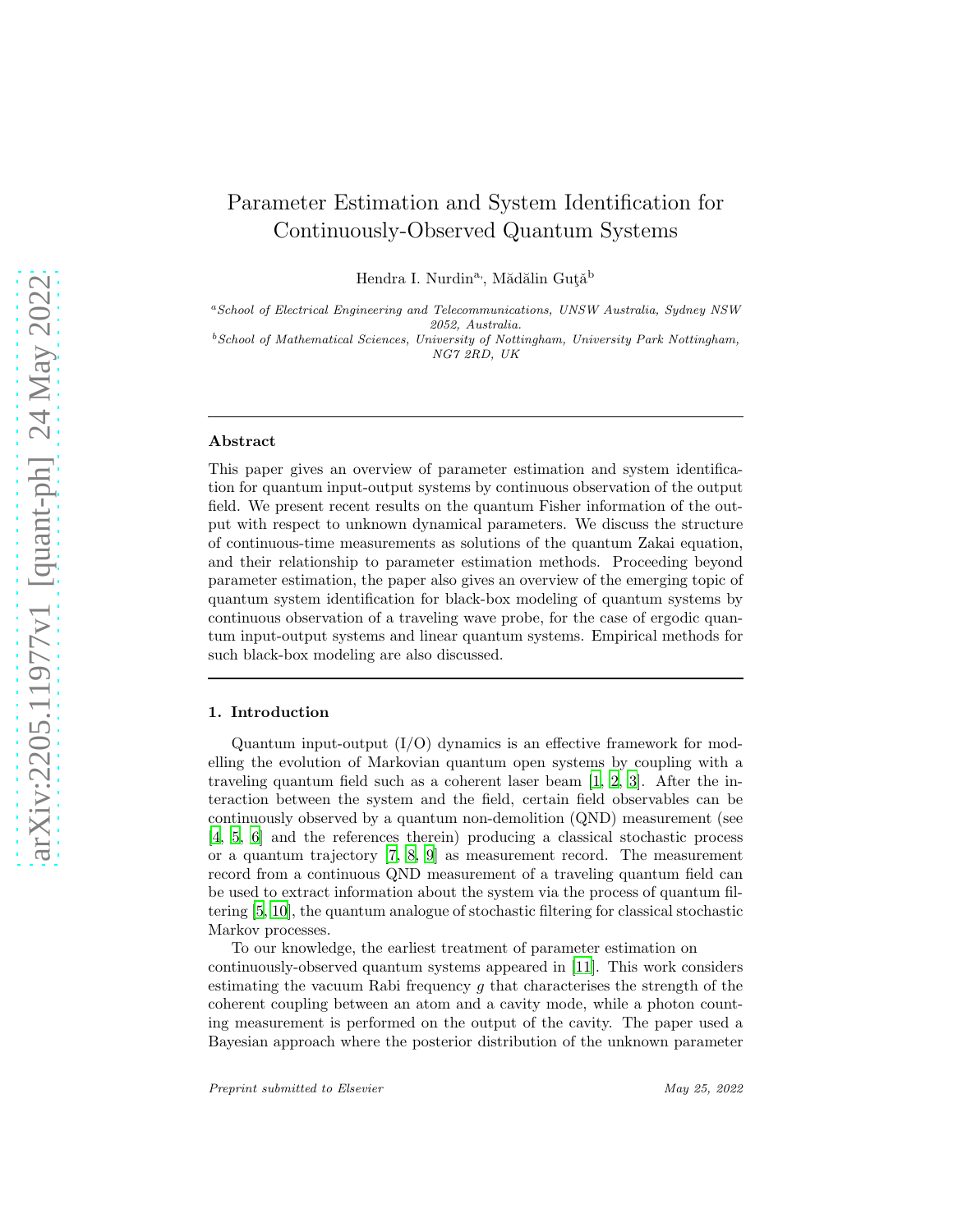# Parameter Estimation and System Identification for Continuously-Observed Quantum Systems

Hendra I. Nurdin<sup>a,</sup>, Mădălin Gută<sup>b</sup>

<sup>a</sup>School of Electrical Engineering and Telecommunications, UNSW Australia, Sydney NSW 2052, Australia.

 $^{b}$ School of Mathematical Sciences, University of Nottingham, University Park Nottingham, NG7 2RD, UK

#### Abstract

This paper gives an overview of parameter estimation and system identification for quantum input-output systems by continuous observation of the output field. We present recent results on the quantum Fisher information of the output with respect to unknown dynamical parameters. We discuss the structure of continuous-time measurements as solutions of the quantum Zakai equation, and their relationship to parameter estimation methods. Proceeding beyond parameter estimation, the paper also gives an overview of the emerging topic of quantum system identification for black-box modeling of quantum systems by continuous observation of a traveling wave probe, for the case of ergodic quantum input-output systems and linear quantum systems. Empirical methods for such black-box modeling are also discussed.

### 1. Introduction

Quantum input-output  $(I/O)$  dynamics is an effective framework for modelling the evolution of Markovian quantum open systems by coupling with a traveling quantum field such as a coherent laser beam [\[1,](#page-20-0) [2,](#page-20-1) [3](#page-20-2)]. After the interaction between the system and the field, certain field observables can be continuously observed by a quantum non-demolition (QND) measurement (see [\[4,](#page-20-3) [5](#page-20-4), [6\]](#page-20-5) and the references therein) producing a classical stochastic process or a quantum trajectory [\[7,](#page-20-6) [8,](#page-20-7) [9\]](#page-20-8) as measurement record. The measurement record from a continuous QND measurement of a traveling quantum field can be used to extract information about the system via the process of quantum filtering [\[5,](#page-20-4) [10\]](#page-21-0), the quantum analogue of stochastic filtering for classical stochastic Markov processes.

To our knowledge, the earliest treatment of parameter estimation on continuously-observed quantum systems appeared in [\[11](#page-21-1)]. This work considers estimating the vacuum Rabi frequency g that characterises the strength of the coherent coupling between an atom and a cavity mode, while a photon counting measurement is performed on the output of the cavity. The paper used a Bayesian approach where the posterior distribution of the unknown parameter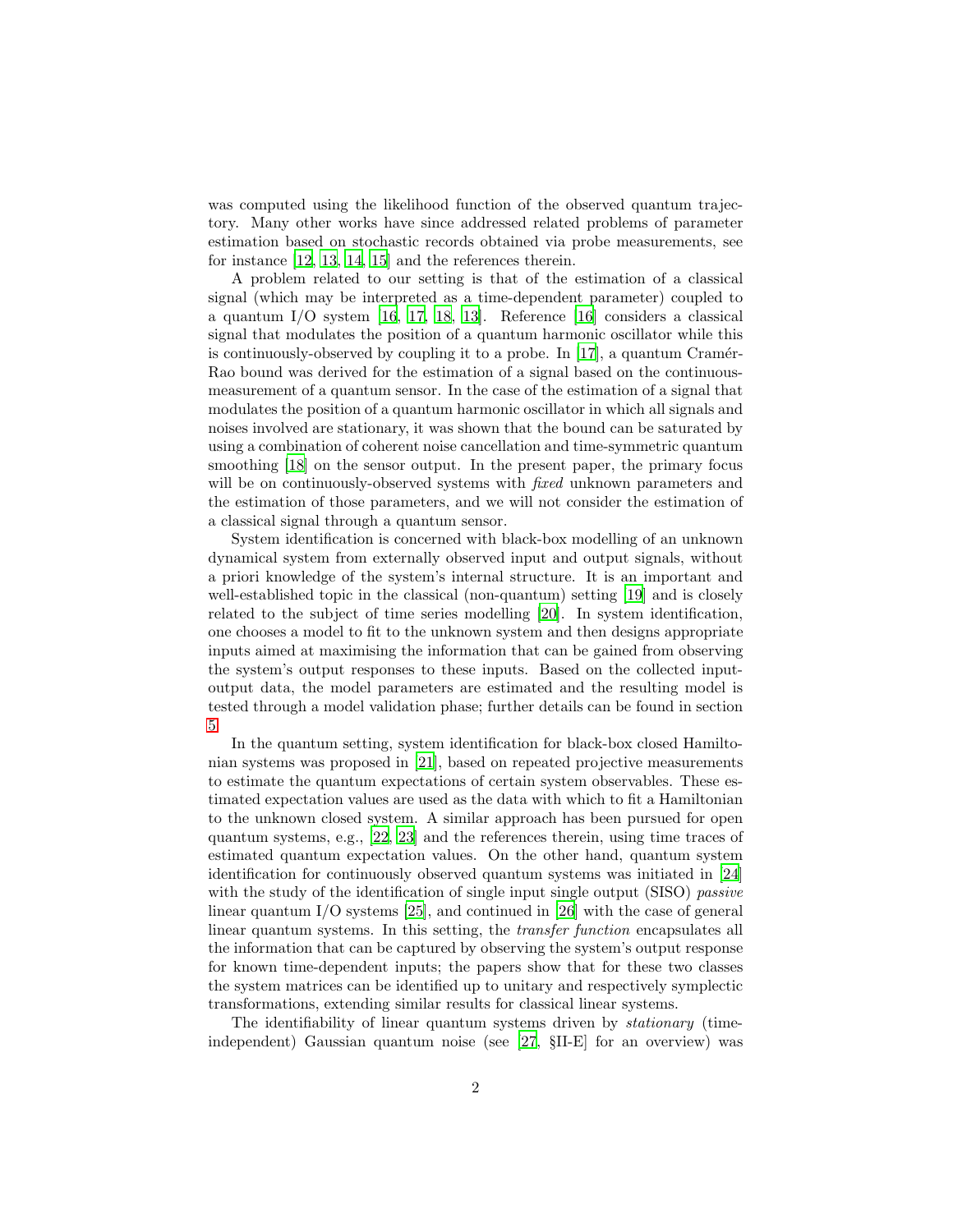was computed using the likelihood function of the observed quantum trajectory. Many other works have since addressed related problems of parameter estimation based on stochastic records obtained via probe measurements, see for instance [\[12,](#page-21-2) [13,](#page-21-3) [14,](#page-21-4) [15\]](#page-21-5) and the references therein.

A problem related to our setting is that of the estimation of a classical signal (which may be interpreted as a time-dependent parameter) coupled to a quantum I/O system [\[16](#page-21-6), [17,](#page-21-7) [18](#page-21-8), [13\]](#page-21-3). Reference [\[16](#page-21-6)] considers a classical signal that modulates the position of a quantum harmonic oscillator while this is continuously-observed by coupling it to a probe. In  $[17]$ , a quantum Cramér-Rao bound was derived for the estimation of a signal based on the continuousmeasurement of a quantum sensor. In the case of the estimation of a signal that modulates the position of a quantum harmonic oscillator in which all signals and noises involved are stationary, it was shown that the bound can be saturated by using a combination of coherent noise cancellation and time-symmetric quantum smoothing [\[18\]](#page-21-8) on the sensor output. In the present paper, the primary focus will be on continuously-observed systems with *fixed* unknown parameters and the estimation of those parameters, and we will not consider the estimation of a classical signal through a quantum sensor.

System identification is concerned with black-box modelling of an unknown dynamical system from externally observed input and output signals, without a priori knowledge of the system's internal structure. It is an important and well-established topic in the classical (non-quantum) setting [\[19\]](#page-21-9) and is closely related to the subject of time series modelling [\[20\]](#page-21-10). In system identification, one chooses a model to fit to the unknown system and then designs appropriate inputs aimed at maximising the information that can be gained from observing the system's output responses to these inputs. Based on the collected inputoutput data, the model parameters are estimated and the resulting model is tested through a model validation phase; further details can be found in section [5.](#page-12-0)

In the quantum setting, system identification for black-box closed Hamiltonian systems was proposed in [\[21\]](#page-21-11), based on repeated projective measurements to estimate the quantum expectations of certain system observables. These estimated expectation values are used as the data with which to fit a Hamiltonian to the unknown closed system. A similar approach has been pursued for open quantum systems, e.g., [\[22,](#page-21-12) [23\]](#page-21-13) and the references therein, using time traces of estimated quantum expectation values. On the other hand, quantum system identification for continuously observed quantum systems was initiated in [\[24\]](#page-21-14) with the study of the identification of single input single output (SISO) *passive* linear quantum I/O systems [\[25](#page-21-15)], and continued in [\[26](#page-21-16)] with the case of general linear quantum systems. In this setting, the *transfer function* encapsulates all the information that can be captured by observing the system's output response for known time-dependent inputs; the papers show that for these two classes the system matrices can be identified up to unitary and respectively symplectic transformations, extending similar results for classical linear systems.

The identifiability of linear quantum systems driven by *stationary* (timeindependent) Gaussian quantum noise (see [\[27,](#page-22-0) §II-E] for an overview) was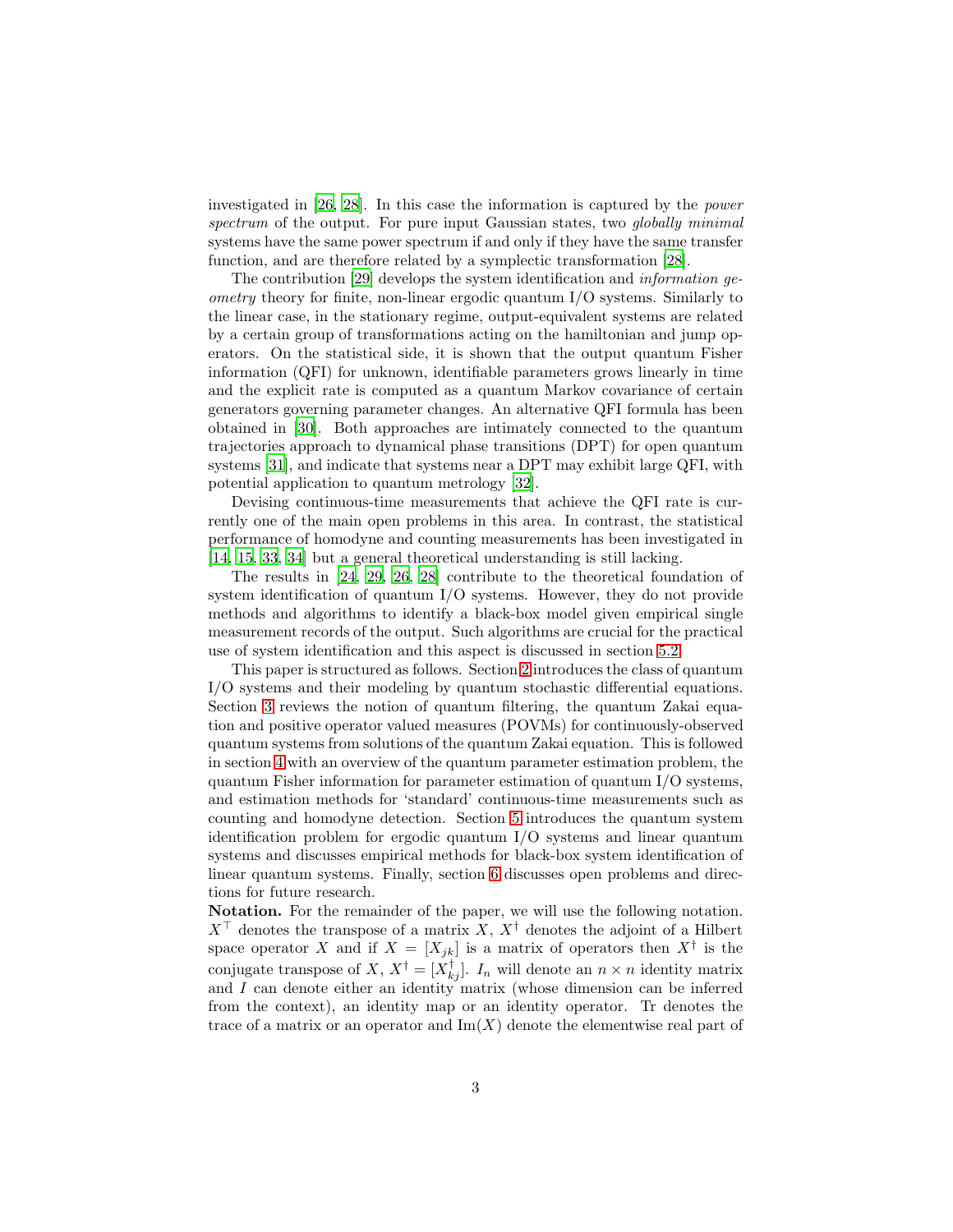investigated in [\[26](#page-21-16), [28\]](#page-22-1). In this case the information is captured by the power spectrum of the output. For pure input Gaussian states, two globally minimal systems have the same power spectrum if and only if they have the same transfer function, and are therefore related by a symplectic transformation [\[28\]](#page-22-1).

The contribution [\[29\]](#page-22-2) develops the system identification and information geometry theory for finite, non-linear ergodic quantum I/O systems. Similarly to the linear case, in the stationary regime, output-equivalent systems are related by a certain group of transformations acting on the hamiltonian and jump operators. On the statistical side, it is shown that the output quantum Fisher information (QFI) for unknown, identifiable parameters grows linearly in time and the explicit rate is computed as a quantum Markov covariance of certain generators governing parameter changes. An alternative QFI formula has been obtained in [\[30](#page-22-3)]. Both approaches are intimately connected to the quantum trajectories approach to dynamical phase transitions (DPT) for open quantum systems [\[31\]](#page-22-4), and indicate that systems near a DPT may exhibit large QFI, with potential application to quantum metrology [\[32](#page-22-5)].

Devising continuous-time measurements that achieve the QFI rate is currently one of the main open problems in this area. In contrast, the statistical performance of homodyne and counting measurements has been investigated in [\[14,](#page-21-4) [15,](#page-21-5) [33,](#page-22-6) [34\]](#page-22-7) but a general theoretical understanding is still lacking.

The results in [\[24,](#page-21-14) [29,](#page-22-2) [26,](#page-21-16) [28](#page-22-1)] contribute to the theoretical foundation of system identification of quantum I/O systems. However, they do not provide methods and algorithms to identify a black-box model given empirical single measurement records of the output. Such algorithms are crucial for the practical use of system identification and this aspect is discussed in section [5.2.](#page-14-0)

This paper is structured as follows. Section [2](#page-3-0) introduces the class of quantum I/O systems and their modeling by quantum stochastic differential equations. Section [3](#page-4-0) reviews the notion of quantum filtering, the quantum Zakai equation and positive operator valued measures (POVMs) for continuously-observed quantum systems from solutions of the quantum Zakai equation. This is followed in section [4](#page-7-0) with an overview of the quantum parameter estimation problem, the quantum Fisher information for parameter estimation of quantum I/O systems, and estimation methods for 'standard' continuous-time measurements such as counting and homodyne detection. Section [5](#page-12-0) introduces the quantum system identification problem for ergodic quantum I/O systems and linear quantum systems and discusses empirical methods for black-box system identification of linear quantum systems. Finally, section [6](#page-19-0) discusses open problems and directions for future research.

Notation. For the remainder of the paper, we will use the following notation.  $X^{\top}$  denotes the transpose of a matrix X,  $X^{\dagger}$  denotes the adjoint of a Hilbert space operator X and if  $X = [X_{jk}]$  is a matrix of operators then  $X^{\dagger}$  is the conjugate transpose of X,  $X^{\dagger} = [X^{\dagger}_{kj}]$ .  $I_n$  will denote an  $n \times n$  identity matrix and I can denote either an identity matrix (whose dimension can be inferred from the context), an identity map or an identity operator. Tr denotes the trace of a matrix or an operator and  $\text{Im}(X)$  denote the elementwise real part of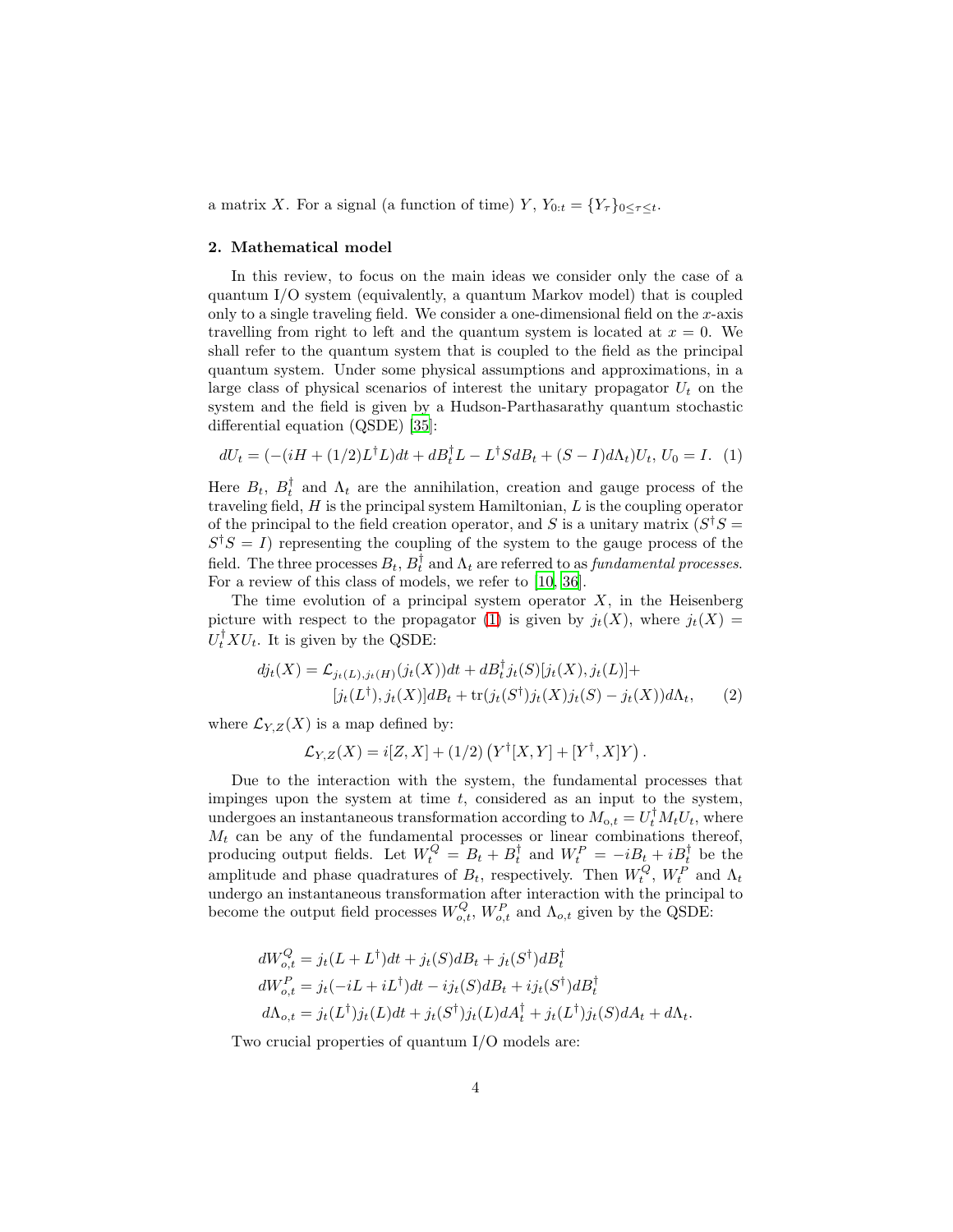a matrix X. For a signal (a function of time) Y,  $Y_{0:t} = \{Y_\tau\}_{0 \leq \tau \leq t}$ .

## <span id="page-3-0"></span>2. Mathematical model

In this review, to focus on the main ideas we consider only the case of a quantum I/O system (equivalently, a quantum Markov model) that is coupled only to a single traveling field. We consider a one-dimensional field on the  $x$ -axis travelling from right to left and the quantum system is located at  $x = 0$ . We shall refer to the quantum system that is coupled to the field as the principal quantum system. Under some physical assumptions and approximations, in a large class of physical scenarios of interest the unitary propagator  $U_t$  on the system and the field is given by a Hudson-Parthasarathy quantum stochastic differential equation (QSDE) [\[35\]](#page-22-8):

<span id="page-3-1"></span>
$$
dU_t = (-(iH + (1/2)L^{\dagger}L)dt + dB_t^{\dagger}L - L^{\dagger}SdB_t + (S - I)d\Lambda_t)U_t, U_0 = I.
$$
 (1)

Here  $B_t$ ,  $B_t^{\dagger}$  and  $\Lambda_t$  are the annihilation, creation and gauge process of the traveling field,  $H$  is the principal system Hamiltonian,  $L$  is the coupling operator of the principal to the field creation operator, and S is a unitary matrix  $(S^{\dagger}S =$  $S^{\dagger}S = I$ ) representing the coupling of the system to the gauge process of the field. The three processes  $B_t$ ,  $B_t^{\dagger}$  and  $\Lambda_t$  are referred to as *fundamental processes*. For a review of this class of models, we refer to [\[10,](#page-21-0) [36\]](#page-22-9).

The time evolution of a principal system operator  $X$ , in the Heisenberg picture with respect to the propagator [\(1\)](#page-3-1) is given by  $j_t(X)$ , where  $j_t(X)$  =  $U_t^{\dagger} X U_t$ . It is given by the QSDE:

$$
dj_t(X) = \mathcal{L}_{jt(L),jt(H)}(j_t(X))dt + dB_t^{\dagger}j_t(S)[j_t(X), j_t(L)] +
$$
  

$$
[j_t(L^{\dagger}), j_t(X)]dB_t + \text{tr}(j_t(S^{\dagger})j_t(X)j_t(S) - j_t(X))d\Lambda_t,
$$
 (2)

where  $\mathcal{L}_{Y,Z}(X)$  is a map defined by:

$$
\mathcal{L}_{Y,Z}(X)=i[Z,X]+(1/2)\left(Y^\dagger[X,Y]+[Y^\dagger,X]Y\right).
$$

Due to the interaction with the system, the fundamental processes that impinges upon the system at time  $t$ , considered as an input to the system, undergoes an instantaneous transformation according to  $M_{o,t} = U_t^{\dagger} M_t U_t$ , where  $M_t$  can be any of the fundamental processes or linear combinations thereof, producing output fields. Let  $W_t^Q = B_t + B_t^{\dagger}$  and  $W_t^P = -iB_t + iB_t^{\dagger}$  be the amplitude and phase quadratures of  $B_t$ , respectively. Then  $W_t^Q$ ,  $W_t^P$  and  $\Lambda_t$ undergo an instantaneous transformation after interaction with the principal to become the output field processes  $W_{o,t}^Q$ ,  $W_{o,t}^P$  and  $\Lambda_{o,t}$  given by the QSDE:

$$
dW_{o,t}^{Q} = j_t(L+L^{\dagger})dt + j_t(S)dB_t + j_t(S^{\dagger})dB_t^{\dagger}
$$
  
\n
$$
dW_{o,t}^{P} = j_t(-iL+iL^{\dagger})dt - ij_t(S)dB_t + ij_t(S^{\dagger})dB_t^{\dagger}
$$
  
\n
$$
d\Lambda_{o,t} = j_t(L^{\dagger})j_t(L)dt + j_t(S^{\dagger})j_t(L)dA_t^{\dagger} + j_t(L^{\dagger})j_t(S)dA_t + d\Lambda_t.
$$

Two crucial properties of quantum I/O models are: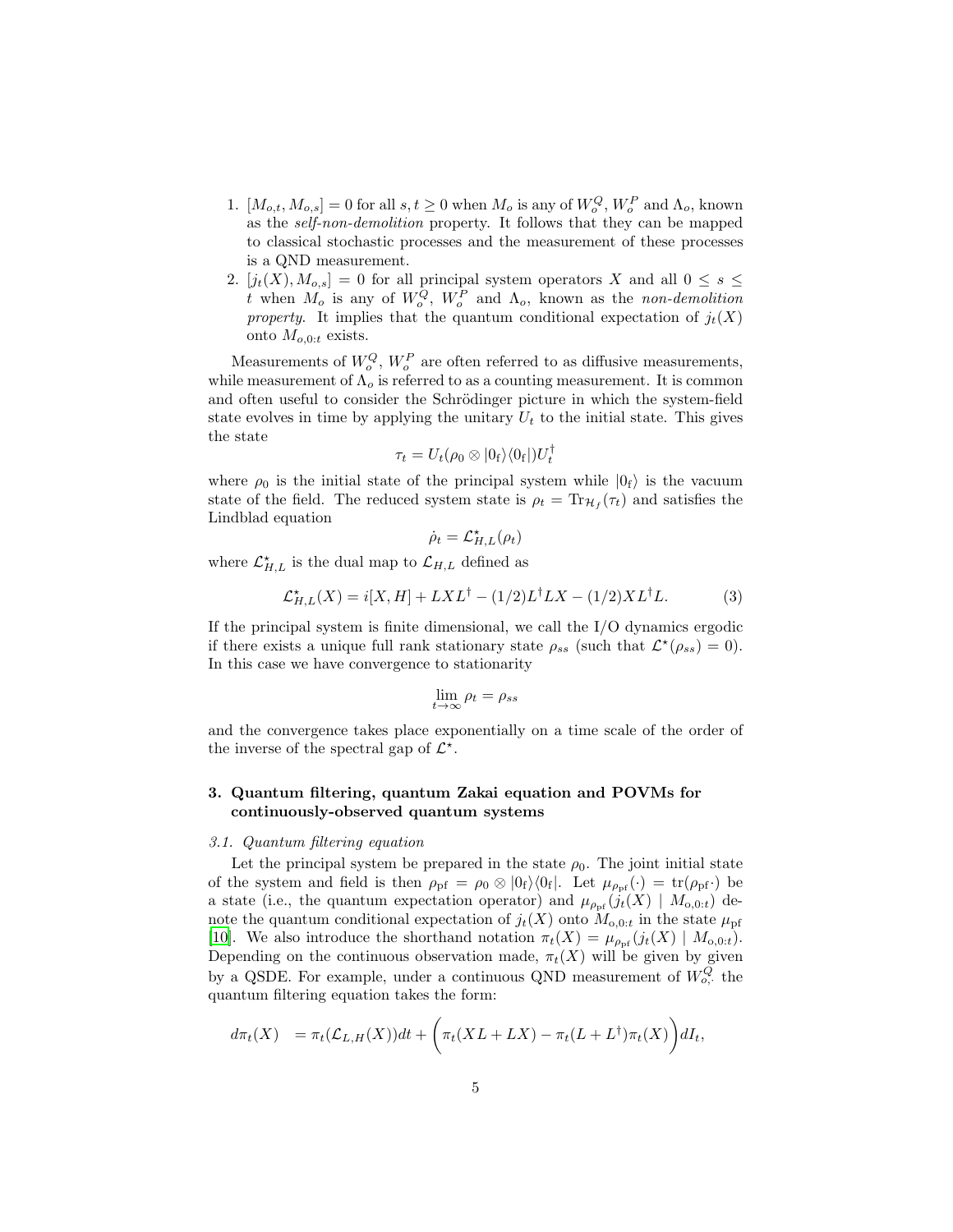- 1.  $[M_{o,t}, M_{o,s}] = 0$  for all  $s, t \ge 0$  when  $M_o$  is any of  $W_o^Q$ ,  $W_o^P$  and  $\Lambda_o$ , known as the self-non-demolition property. It follows that they can be mapped to classical stochastic processes and the measurement of these processes is a QND measurement.
- 2.  $[j_t(X), M_{o,s}] = 0$  for all principal system operators X and all  $0 \leq s \leq$ t when  $M_o$  is any of  $W_o^Q$ ,  $W_o^P$  and  $\Lambda_o$ , known as the non-demolition property. It implies that the quantum conditional expectation of  $j_t(X)$ onto  $M_{o,0:t}$  exists.

Measurements of  $W_o^Q$ ,  $W_o^P$  are often referred to as diffusive measurements, while measurement of  $\Lambda_o$  is referred to as a counting measurement. It is common and often useful to consider the Schrödinger picture in which the system-field state evolves in time by applying the unitary  $U_t$  to the initial state. This gives the state

$$
\tau_t = U_t(\rho_0 \otimes |0_{\rm f}\rangle\langle 0_{\rm f}|)U_t^{\dagger}
$$

where  $\rho_0$  is the initial state of the principal system while  $|0_f\rangle$  is the vacuum state of the field. The reduced system state is  $\rho_t = \text{Tr}_{\mathcal{H}_f}(\tau_t)$  and satisfies the Lindblad equation

$$
\dot{\rho}_t = \mathcal{L}_{H,L}^{\star}(\rho_t)
$$

where  $\mathcal{L}_{H,L}^{\star}$  is the dual map to  $\mathcal{L}_{H,L}$  defined as

<span id="page-4-1"></span>
$$
\mathcal{L}_{H,L}^{\star}(X) = i[X, H] + LXL^{\dagger} - (1/2)L^{\dagger}LX - (1/2)XL^{\dagger}L. \tag{3}
$$

If the principal system is finite dimensional, we call the I/O dynamics ergodic if there exists a unique full rank stationary state  $\rho_{ss}$  (such that  $\mathcal{L}^*(\rho_{ss}) = 0$ ). In this case we have convergence to stationarity

$$
\lim_{t \to \infty} \rho_t = \rho_{ss}
$$

and the convergence takes place exponentially on a time scale of the order of the inverse of the spectral gap of  $\mathcal{L}^*$ .

# <span id="page-4-0"></span>3. Quantum filtering, quantum Zakai equation and POVMs for continuously-observed quantum systems

#### 3.1. Quantum filtering equation

Let the principal system be prepared in the state  $\rho_0$ . The joint initial state of the system and field is then  $\rho_{\rm pf} = \rho_0 \otimes |0_{\rm f}\rangle \langle 0_{\rm f}|$ . Let  $\mu_{\rho_{\rm pf}}(\cdot) = {\rm tr}(\rho_{\rm pf} \cdot)$  be a state (i.e., the quantum expectation operator) and  $\mu_{\rho_{\text{pf}}}(j_t(X) | M_{0,0:t})$  denote the quantum conditional expectation of  $j_t(X)$  onto  $M_{0,0:t}$  in the state  $\mu_{\text{pf}}$ [\[10\]](#page-21-0). We also introduce the shorthand notation  $\pi_t(X) = \mu_{\rho_{\text{pf}}}(j_t(X) | M_{0,0:t}).$ Depending on the continuous observation made,  $\pi_t(X)$  will be given by given by a QSDE. For example, under a continuous QND measurement of  $W_{o,}^Q$  the quantum filtering equation takes the form:

$$
d\pi_t(X) = \pi_t(\mathcal{L}_{L,H}(X))dt + \left(\pi_t(XL + LX) - \pi_t(L + L^{\dagger})\pi_t(X)\right) dI_t,
$$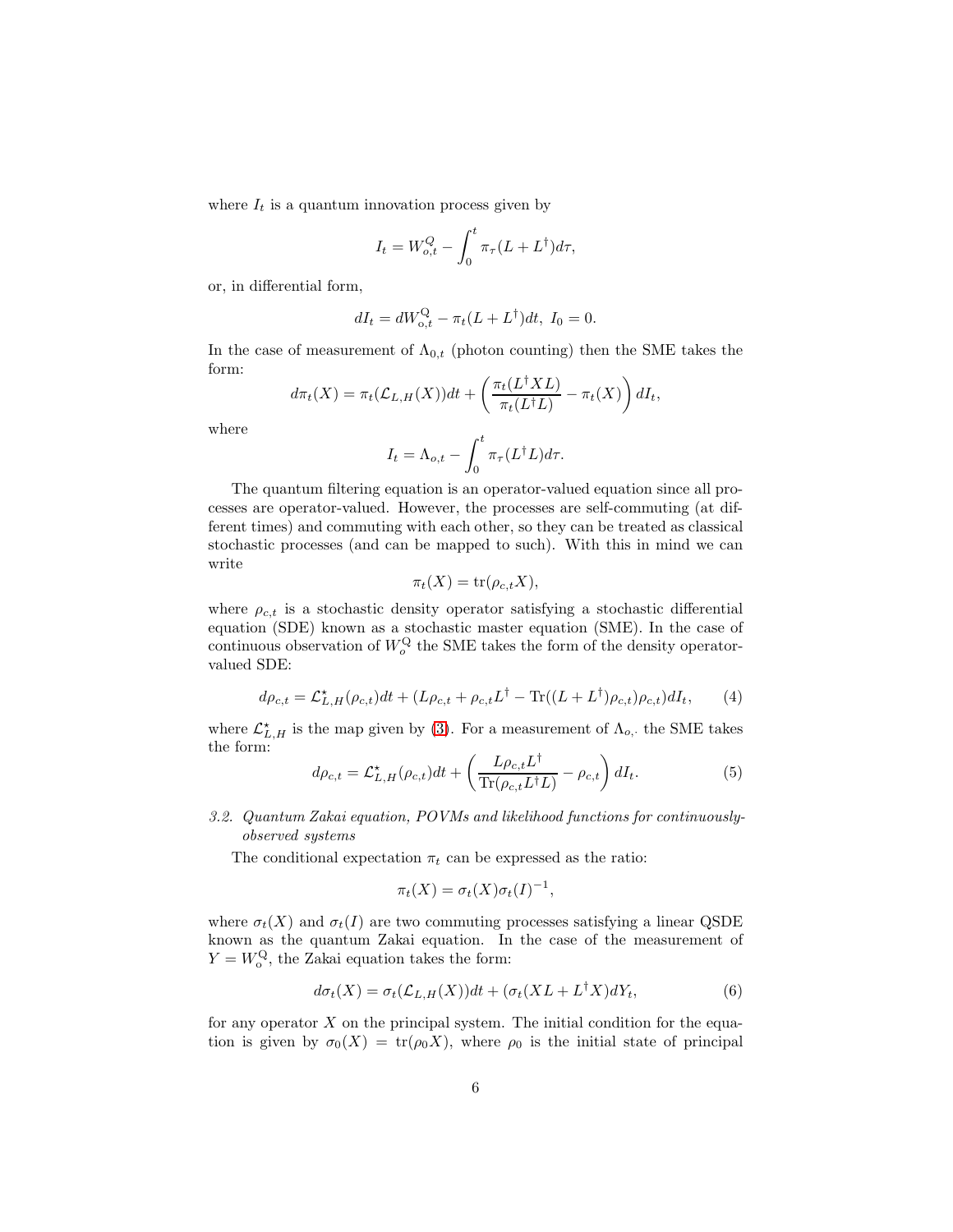where  $I_t$  is a quantum innovation process given by

$$
I_t = W_{o,t}^Q - \int_0^t \pi_\tau (L + L^\dagger) d\tau,
$$

or, in differential form,

$$
dI_t = dW_{o,t}^{\mathcal{Q}} - \pi_t (L + L^{\dagger}) dt, I_0 = 0.
$$

In the case of measurement of  $\Lambda_{0,t}$  (photon counting) then the SME takes the form:  $\mathcal{L}$ 

$$
d\pi_t(X) = \pi_t(\mathcal{L}_{L,H}(X))dt + \left(\frac{\pi_t(L^{\dagger}XL)}{\pi_t(L^{\dagger}L)} - \pi_t(X)\right)dI_t,
$$

where

$$
I_t = \Lambda_{o,t} - \int_0^t \pi_\tau(L^\dagger L) d\tau.
$$

The quantum filtering equation is an operator-valued equation since all processes are operator-valued. However, the processes are self-commuting (at different times) and commuting with each other, so they can be treated as classical stochastic processes (and can be mapped to such). With this in mind we can write

$$
\pi_t(X) = \text{tr}(\rho_{c,t}X),
$$

where  $\rho_{c,t}$  is a stochastic density operator satisfying a stochastic differential equation (SDE) known as a stochastic master equation (SME). In the case of continuous observation of  $W_o^{\text{Q}}$  the SME takes the form of the density operatorvalued SDE:

<span id="page-5-1"></span>
$$
d\rho_{c,t} = \mathcal{L}_{L,H}^{\star}(\rho_{c,t})dt + (L\rho_{c,t} + \rho_{c,t}L^{\dagger} - \text{Tr}((L + L^{\dagger})\rho_{c,t})\rho_{c,t})dI_t, \qquad (4)
$$

where  $\mathcal{L}_{L,H}^{\star}$  is the map given by [\(3\)](#page-4-1). For a measurement of  $\Lambda_{o}$ , the SME takes the form:  $\mathbf{r}$ 

<span id="page-5-2"></span>
$$
d\rho_{c,t} = \mathcal{L}_{L,H}^{\star}(\rho_{c,t})dt + \left(\frac{L\rho_{c,t}L^{\dagger}}{\text{Tr}(\rho_{c,t}L^{\dagger}L)} - \rho_{c,t}\right)dI_t.
$$
 (5)

<span id="page-5-0"></span>3.2. Quantum Zakai equation, POVMs and likelihood functions for continuouslyobserved systems

The conditional expectation  $\pi_t$  can be expressed as the ratio:

$$
\pi_t(X) = \sigma_t(X)\sigma_t(I)^{-1},
$$

where  $\sigma_t(X)$  and  $\sigma_t(I)$  are two commuting processes satisfying a linear QSDE known as the quantum Zakai equation. In the case of the measurement of  $Y = W_{o}^{\mathbf{Q}},$  the Zakai equation takes the form:

$$
d\sigma_t(X) = \sigma_t(\mathcal{L}_{L,H}(X))dt + (\sigma_t(XL + L^{\dagger}X)dY_t,
$$
\n(6)

for any operator  $X$  on the principal system. The initial condition for the equation is given by  $\sigma_0(X) = \text{tr}(\rho_0 X)$ , where  $\rho_0$  is the initial state of principal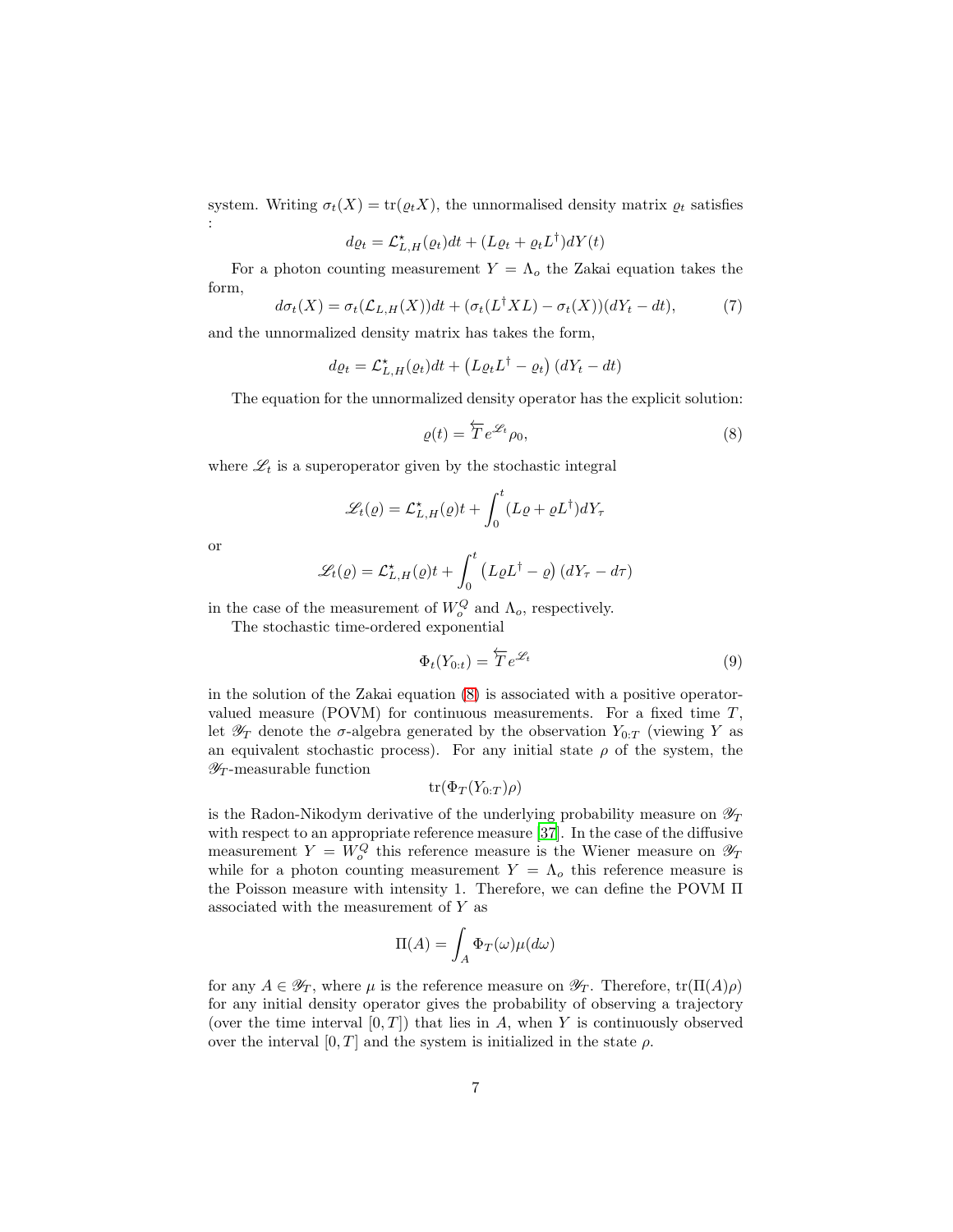system. Writing  $\sigma_t(X) = \text{tr}(\varrho_t X)$ , the unnormalised density matrix  $\varrho_t$  satisfies :

$$
d\varrho_t = \mathcal{L}_{L,H}^{\star}(\varrho_t)dt + (L\varrho_t + \varrho_t L^{\dagger})dY(t)
$$

For a photon counting measurement  $Y = \Lambda_o$  the Zakai equation takes the form,

$$
d\sigma_t(X) = \sigma_t(\mathcal{L}_{L,H}(X))dt + (\sigma_t(L^{\dagger}XL) - \sigma_t(X))(dY_t - dt),
$$
\n(7)

and the unnormalized density matrix has takes the form,

$$
d\varrho_t = \mathcal{L}_{L,H}^{\star}(\varrho_t)dt + \left(L\varrho_t L^{\dagger} - \varrho_t\right)(dY_t - dt)
$$

The equation for the unnormalized density operator has the explicit solution:

<span id="page-6-0"></span>
$$
\varrho(t) = \overleftarrow{T} e^{\mathcal{L}_t} \rho_0,\tag{8}
$$

where  $\mathscr{L}_t$  is a superoperator given by the stochastic integral

$$
\mathcal{L}_t(\varrho) = \mathcal{L}_{L,H}^{\star}(\varrho)t + \int_0^t (L\varrho + \varrho L^{\dagger})dY_{\tau}
$$

or

$$
\mathcal{L}_t(\varrho) = \mathcal{L}_{L,H}^{\star}(\varrho)t + \int_0^t \left( L\varrho L^{\dagger} - \varrho \right) \left( dY_{\tau} - d\tau \right)
$$

in the case of the measurement of  $W_o^Q$  and  $\Lambda_o$ , respectively.

The stochastic time-ordered exponential

$$
\Phi_t(Y_{0:t}) = \overleftarrow{T} e^{\mathcal{L}_t} \tag{9}
$$

in the solution of the Zakai equation [\(8\)](#page-6-0) is associated with a positive operatorvalued measure (POVM) for continuous measurements. For a fixed time  $T$ , let  $\mathscr{Y}_T$  denote the  $\sigma$ -algebra generated by the observation  $Y_{0:T}$  (viewing Y as an equivalent stochastic process). For any initial state  $\rho$  of the system, the  $\mathscr{Y}_T$ -measurable function

$$
\operatorname{tr}(\Phi_T(Y_{0:T})\rho)
$$

is the Radon-Nikodym derivative of the underlying probability measure on  $\mathscr{Y}_T$ with respect to an appropriate reference measure [\[37](#page-22-10)]. In the case of the diffusive measurement  $Y = W_o^Q$  this reference measure is the Wiener measure on  $\mathscr{Y}_T$ while for a photon counting measurement  $Y = \Lambda_o$  this reference measure is the Poisson measure with intensity 1. Therefore, we can define the POVM Π associated with the measurement of Y as

$$
\Pi(A) = \int_A \Phi_T(\omega) \mu(d\omega)
$$

for any  $A \in \mathscr{Y}_T$ , where  $\mu$  is the reference measure on  $\mathscr{Y}_T$ . Therefore,  $tr(\Pi(A)\rho)$ for any initial density operator gives the probability of observing a trajectory (over the time interval  $[0, T]$ ) that lies in A, when Y is continuously observed over the interval  $[0, T]$  and the system is initialized in the state  $\rho$ .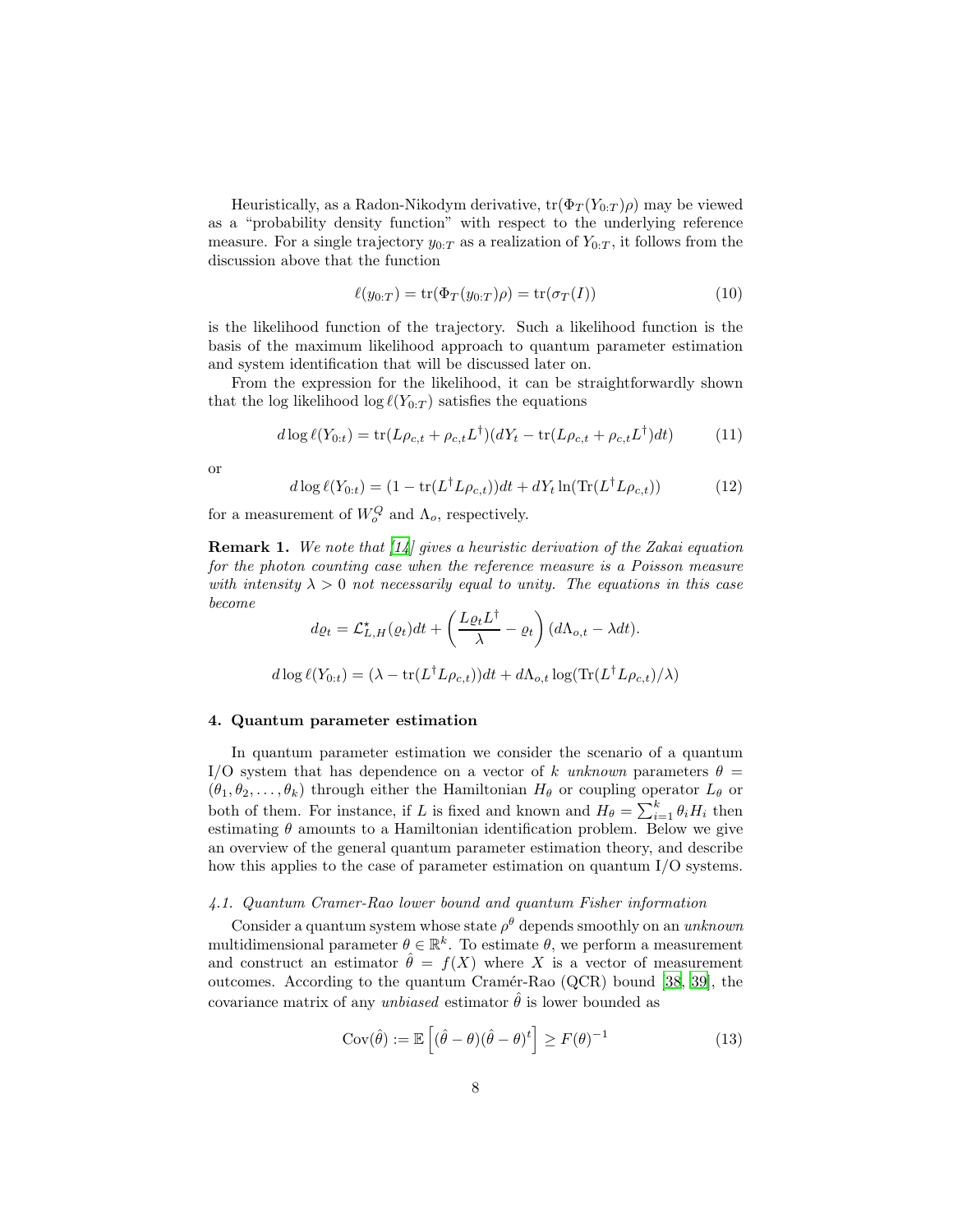Heuristically, as a Radon-Nikodym derivative,  $tr(\Phi_T(Y_{0:T})\rho)$  may be viewed as a "probability density function" with respect to the underlying reference measure. For a single trajectory  $y_{0:T}$  as a realization of  $Y_{0:T}$ , it follows from the discussion above that the function

$$
\ell(y_{0:T}) = \text{tr}(\Phi_T(y_{0:T})\rho) = \text{tr}(\sigma_T(I))\tag{10}
$$

is the likelihood function of the trajectory. Such a likelihood function is the basis of the maximum likelihood approach to quantum parameter estimation and system identification that will be discussed later on.

From the expression for the likelihood, it can be straightforwardly shown that the log likelihood  $\log \ell(Y_{0:T})$  satisfies the equations

<span id="page-7-2"></span>
$$
d \log \ell(Y_{0:t}) = \text{tr}(L\rho_{c,t} + \rho_{c,t}L^{\dagger})(dY_t - \text{tr}(L\rho_{c,t} + \rho_{c,t}L^{\dagger})dt)
$$
(11)

or

<span id="page-7-3"></span>
$$
d\log \ell(Y_{0:t}) = (1 - \text{tr}(L^{\dagger}L\rho_{c,t}))dt + dY_t \ln(\text{Tr}(L^{\dagger}L\rho_{c,t}))
$$
\n(12)

for a measurement of  $W_o^Q$  and  $\Lambda_o$ , respectively.

**Remark 1.** We note that  $\begin{bmatrix} 14 \end{bmatrix}$  gives a heuristic derivation of the Zakai equation for the photon counting case when the reference measure is a Poisson measure with intensity  $\lambda > 0$  not necessarily equal to unity. The equations in this case become

$$
d\varrho_t = \mathcal{L}_{L,H}^{\star}(\varrho_t)dt + \left(\frac{L\varrho_t L^{\dagger}}{\lambda} - \varrho_t\right) (d\Lambda_{o,t} - \lambda dt).
$$

$$
d\log \ell(Y_{0:t}) = (\lambda - \text{tr}(L^{\dagger}L\rho_{c,t}))dt + d\Lambda_{o,t}\log(\text{Tr}(L^{\dagger}L\rho_{c,t})/\lambda)
$$

#### <span id="page-7-0"></span>4. Quantum parameter estimation

In quantum parameter estimation we consider the scenario of a quantum I/O system that has dependence on a vector of k unknown parameters  $\theta =$  $(\theta_1, \theta_2, \ldots, \theta_k)$  through either the Hamiltonian  $H_\theta$  or coupling operator  $L_\theta$  or both of them. For instance, if L is fixed and known and  $H_{\theta} = \sum_{i=1}^{k} \theta_i H_i$  then estimating  $\theta$  amounts to a Hamiltonian identification problem. Below we give an overview of the general quantum parameter estimation theory, and describe how this applies to the case of parameter estimation on quantum I/O systems.

### 4.1. Quantum Cramer-Rao lower bound and quantum Fisher information

Consider a quantum system whose state  $\rho^{\theta}$  depends smoothly on an unknown multidimensional parameter  $\theta \in \mathbb{R}^k$ . To estimate  $\theta$ , we perform a measurement and construct an estimator  $\hat{\theta} = f(X)$  where X is a vector of measurement outcomes. According to the quantum Cram´er-Rao (QCR) bound [\[38,](#page-22-11) [39](#page-22-12)], the covariance matrix of any unbiased estimator  $\hat{\theta}$  is lower bounded as

<span id="page-7-1"></span>
$$
Cov(\hat{\theta}) := \mathbb{E}\left[ (\hat{\theta} - \theta)(\hat{\theta} - \theta)^t \right] \ge F(\theta)^{-1}
$$
\n(13)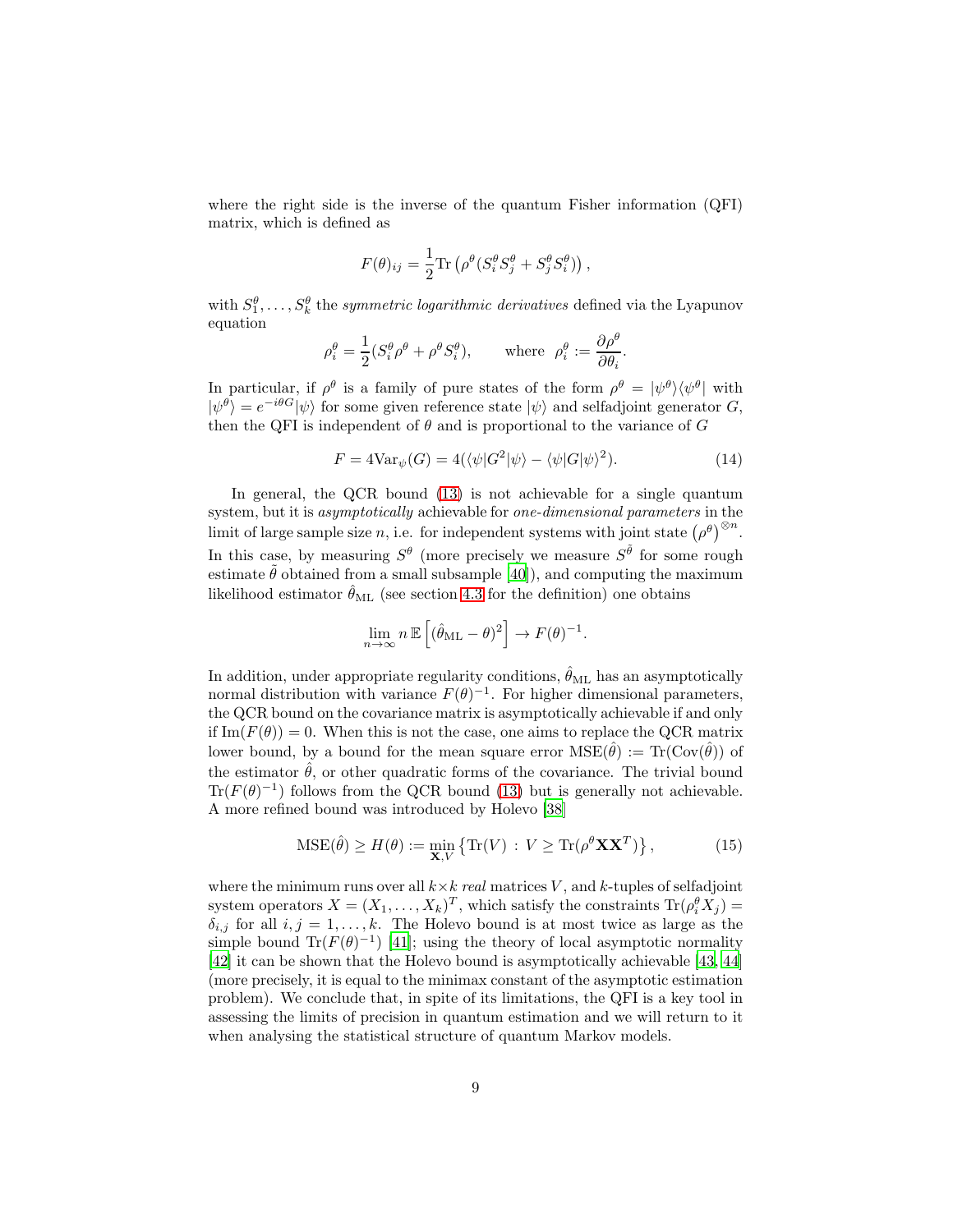where the right side is the inverse of the quantum Fisher information (QFI) matrix, which is defined as

$$
F(\theta)_{ij} = \frac{1}{2} \text{Tr} \left( \rho^{\theta} (S_i^{\theta} S_j^{\theta} + S_j^{\theta} S_i^{\theta}) \right),
$$

with  $S_1^{\theta}, \ldots, S_k^{\theta}$  the *symmetric logarithmic derivatives* defined via the Lyapunov equation

$$
\rho_i^{\theta} = \frac{1}{2} (S_i^{\theta} \rho^{\theta} + \rho^{\theta} S_i^{\theta}), \quad \text{where } \rho_i^{\theta} := \frac{\partial \rho^{\theta}}{\partial \theta_i}.
$$

In particular, if  $\rho^{\theta}$  is a family of pure states of the form  $\rho^{\theta} = |\psi^{\theta}\rangle\langle\psi^{\theta}|$  with  $|\psi^{\theta}\rangle = e^{-i\theta G}|\psi\rangle$  for some given reference state  $|\psi\rangle$  and selfadjoint generator G, then the QFI is independent of  $\theta$  and is proportional to the variance of  $G$ 

<span id="page-8-0"></span>
$$
F = 4\text{Var}_{\psi}(G) = 4(\langle \psi | G^2 | \psi \rangle - \langle \psi | G | \psi \rangle^2). \tag{14}
$$

In general, the QCR bound [\(13\)](#page-7-1) is not achievable for a single quantum system, but it is asymptotically achievable for one-dimensional parameters in the limit of large sample size n, i.e. for independent systems with joint state  $(\rho^{\theta})^{\otimes n}$ . In this case, by measuring  $S^{\theta}$  (more precisely we measure  $S^{\tilde{\theta}}$  for some rough estimate  $\tilde{\theta}$  obtained from a small subsample [\[40\]](#page-22-13)), and computing the maximum likelihood estimator  $\hat{\theta}_{ML}$  (see section [4.3](#page-10-0) for the definition) one obtains

$$
\lim_{n \to \infty} n \mathbb{E}\left[ (\hat{\theta}_{\mathrm{ML}} - \theta)^2 \right] \to F(\theta)^{-1}.
$$

In addition, under appropriate regularity conditions,  $\hat{\theta}_{ML}$  has an asymptotically normal distribution with variance  $F(\theta)^{-1}$ . For higher dimensional parameters, the QCR bound on the covariance matrix is asymptotically achievable if and only if  $\text{Im}(F(\theta)) = 0$ . When this is not the case, one aims to replace the QCR matrix lower bound, by a bound for the mean square error  $MSE(\hat{\theta}) := Tr(Cov(\hat{\theta}))$  of the estimator  $\hat{\theta}$ , or other quadratic forms of the covariance. The trivial bound  $\text{Tr}(F(\theta)^{-1})$  follows from the QCR bound [\(13\)](#page-7-1) but is generally not achievable. A more refined bound was introduced by Holevo [\[38](#page-22-11)]

$$
\text{MSE}(\hat{\theta}) \ge H(\theta) := \min_{\mathbf{X}, V} \left\{ \text{Tr}(V) \, : \, V \ge \text{Tr}(\rho^{\theta} \mathbf{X} \mathbf{X}^T) \right\},\tag{15}
$$

where the minimum runs over all  $k \times k$  real matrices V, and k-tuples of selfadjoint system operators  $X = (X_1, \ldots, X_k)^T$ , which satisfy the constraints  $\text{Tr}(\rho_i^{\theta} X_j) =$  $\delta_{i,j}$  for all  $i, j = 1, \ldots, k$ . The Holevo bound is at most twice as large as the simple bound Tr( $F(\theta)^{-1}$ ) [\[41](#page-23-0)]; using the theory of local asymptotic normality [\[42\]](#page-23-1) it can be shown that the Holevo bound is asymptotically achievable [\[43](#page-23-2), [44\]](#page-23-3) (more precisely, it is equal to the minimax constant of the asymptotic estimation problem). We conclude that, in spite of its limitations, the QFI is a key tool in assessing the limits of precision in quantum estimation and we will return to it when analysing the statistical structure of quantum Markov models.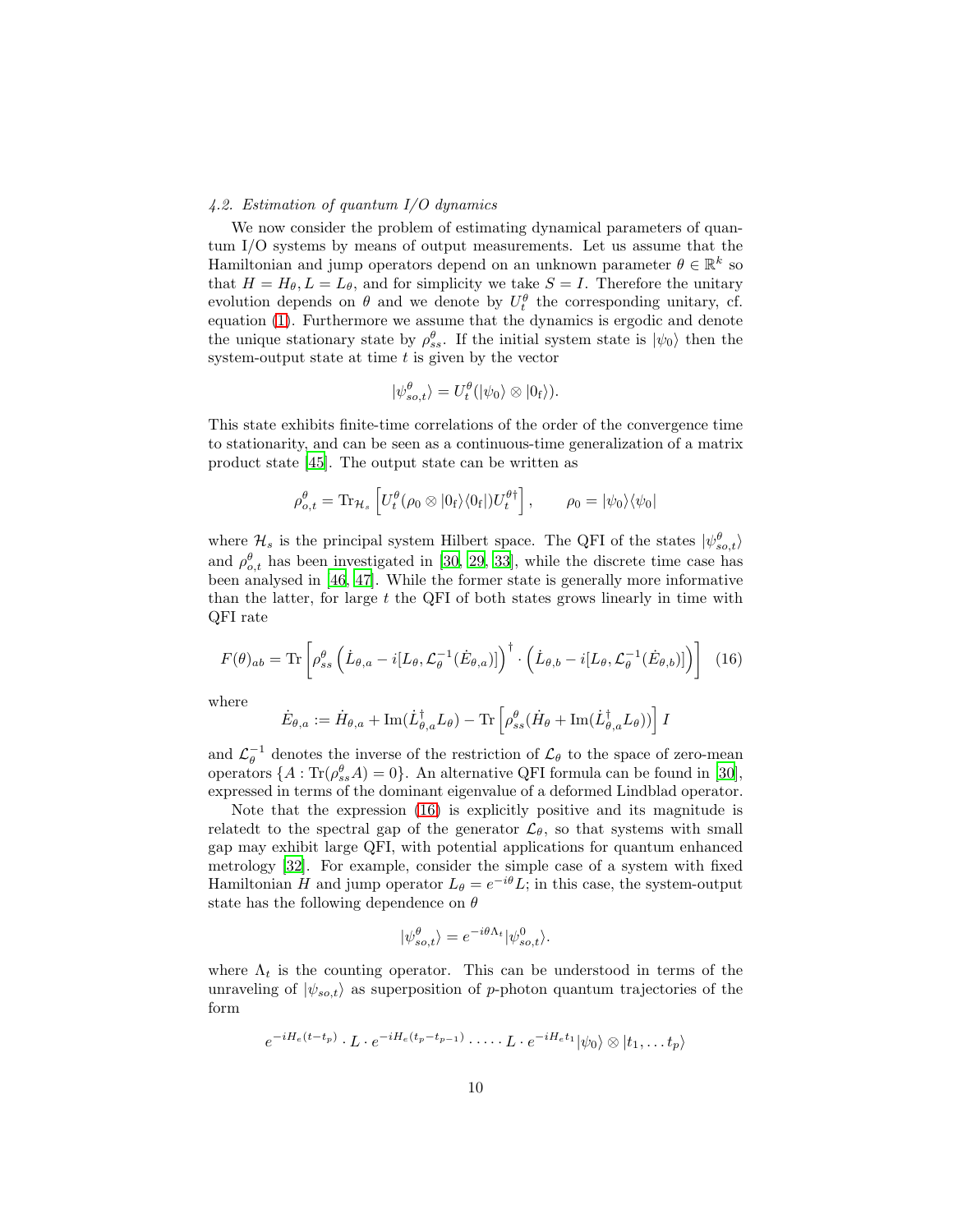## 4.2. Estimation of quantum I/O dynamics

We now consider the problem of estimating dynamical parameters of quantum I/O systems by means of output measurements. Let us assume that the Hamiltonian and jump operators depend on an unknown parameter  $\theta \in \mathbb{R}^k$  so that  $H = H_{\theta}, L = L_{\theta}$ , and for simplicity we take  $S = I$ . Therefore the unitary evolution depends on  $\theta$  and we denote by  $U_t^{\theta}$  the corresponding unitary, cf. equation [\(1\)](#page-3-1). Furthermore we assume that the dynamics is ergodic and denote the unique stationary state by  $\rho_{ss}^{\theta}$ . If the initial system state is  $|\psi_0\rangle$  then the system-output state at time  $t$  is given by the vector

$$
|\psi_{so,t}^{\theta}\rangle = U_t^{\theta}(|\psi_0\rangle \otimes |0_{\text{f}}\rangle).
$$

This state exhibits finite-time correlations of the order of the convergence time to stationarity, and can be seen as a continuous-time generalization of a matrix product state [\[45](#page-23-4)]. The output state can be written as

$$
\rho_{o,t}^{\theta} = \text{Tr}_{\mathcal{H}_s} \left[ U_t^{\theta} (\rho_0 \otimes |0_{\text{f}}\rangle \langle 0_{\text{f}}|) U_t^{\theta \dagger} \right], \qquad \rho_0 = |\psi_0\rangle \langle \psi_0|
$$

where  $\mathcal{H}_s$  is the principal system Hilbert space. The QFI of the states  $|\psi_{so,t}^{\theta}\rangle$ and  $\rho_{o,t}^{\theta}$  has been investigated in [\[30,](#page-22-3) [29,](#page-22-2) [33\]](#page-22-6), while the discrete time case has been analysed in [\[46](#page-23-5), [47](#page-23-6)]. While the former state is generally more informative than the latter, for large  $t$  the QFI of both states grows linearly in time with QFI rate

<span id="page-9-0"></span>
$$
F(\theta)_{ab} = \text{Tr}\left[\rho_{ss}^{\theta}\left(\dot{L}_{\theta,a} - i[L_{\theta}, \mathcal{L}_{\theta}^{-1}(\dot{E}_{\theta,a})]\right)^{\dagger} \cdot \left(\dot{L}_{\theta,b} - i[L_{\theta}, \mathcal{L}_{\theta}^{-1}(\dot{E}_{\theta,b})]\right)\right]
$$
(16)

where

$$
\dot{E}_{\theta,a} := \dot{H}_{\theta,a} + \text{Im}(\dot{L}_{\theta,a}^{\dagger}L_{\theta}) - \text{Tr}\left[\rho_{ss}^{\theta}(\dot{H}_{\theta} + \text{Im}(\dot{L}_{\theta,a}^{\dagger}L_{\theta}))\right]I
$$

and  $\mathcal{L}_{\theta}^{-1}$  denotes the inverse of the restriction of  $\mathcal{L}_{\theta}$  to the space of zero-mean operators  $\{A: \text{Tr}(\rho_{ss}^{\theta}A)=0\}$ . An alternative QFI formula can be found in [\[30\]](#page-22-3), expressed in terms of the dominant eigenvalue of a deformed Lindblad operator.

Note that the expression [\(16\)](#page-9-0) is explicitly positive and its magnitude is relatedt to the spectral gap of the generator  $\mathcal{L}_{\theta}$ , so that systems with small gap may exhibit large QFI, with potential applications for quantum enhanced metrology [\[32](#page-22-5)]. For example, consider the simple case of a system with fixed Hamiltonian H and jump operator  $L_{\theta} = e^{-i\theta} L$ ; in this case, the system-output state has the following dependence on  $\theta$ 

$$
|\psi^{\theta}_{so,t}\rangle = e^{-i\theta \Lambda_t} |\psi^0_{so,t}\rangle.
$$

where  $\Lambda_t$  is the counting operator. This can be understood in terms of the unraveling of  $|\psi_{so,t}\rangle$  as superposition of p-photon quantum trajectories of the form

$$
e^{-iH_e(t-t_p)} \cdot L \cdot e^{-iH_e(t_p-t_{p-1})} \cdot \dots \cdot L \cdot e^{-iH_e t_1} |\psi_0\rangle \otimes |t_1,\dots t_p\rangle
$$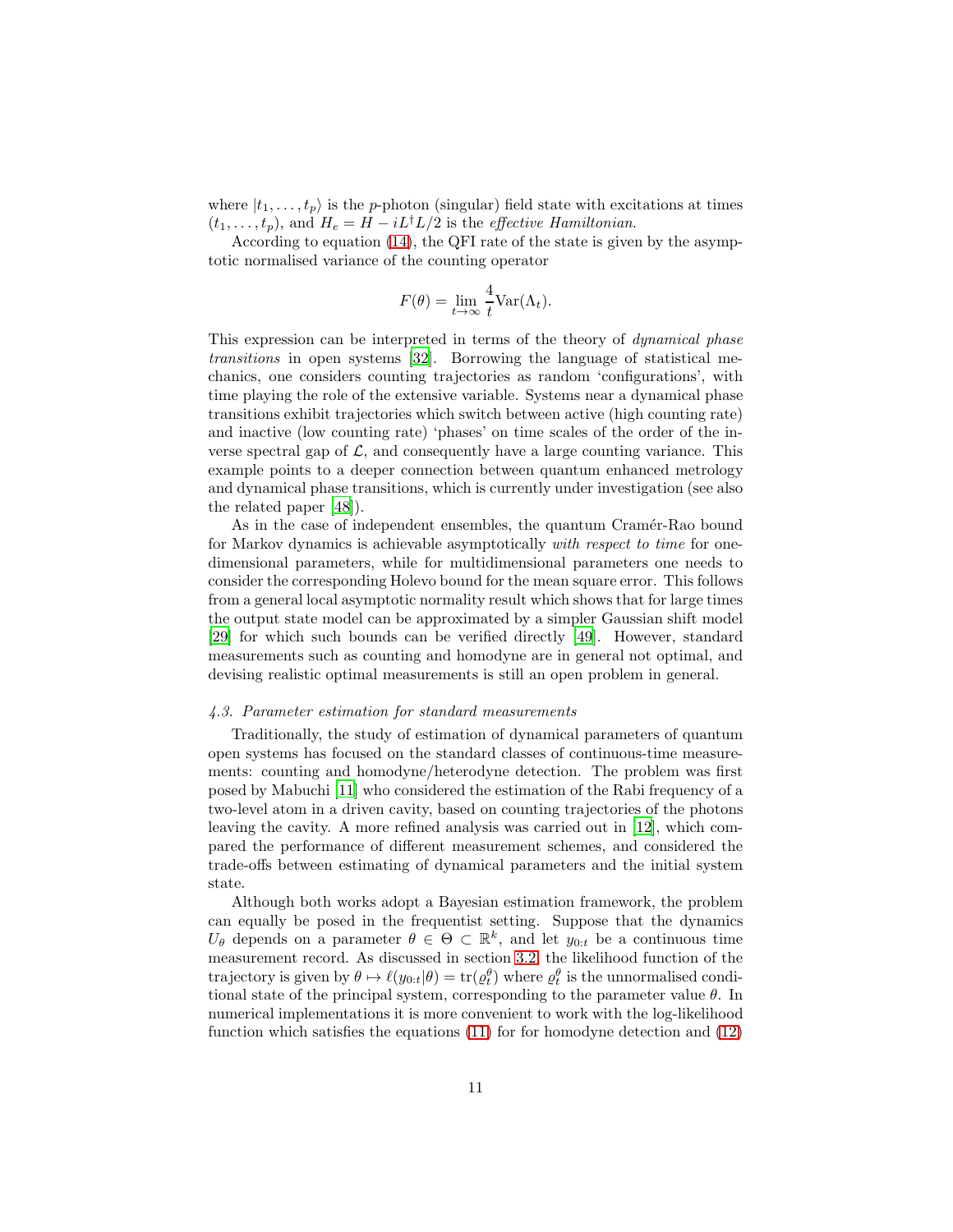where  $|t_1, \ldots, t_p\rangle$  is the p-photon (singular) field state with excitations at times  $(t_1, \ldots, t_p)$ , and  $H_e = H - iL^{\dagger}L/2$  is the *effective Hamiltonian*.

According to equation [\(14\)](#page-8-0), the QFI rate of the state is given by the asymptotic normalised variance of the counting operator

$$
F(\theta) = \lim_{t \to \infty} \frac{4}{t} \text{Var}(\Lambda_t).
$$

This expression can be interpreted in terms of the theory of dynamical phase transitions in open systems [\[32\]](#page-22-5). Borrowing the language of statistical mechanics, one considers counting trajectories as random 'configurations', with time playing the role of the extensive variable. Systems near a dynamical phase transitions exhibit trajectories which switch between active (high counting rate) and inactive (low counting rate) 'phases' on time scales of the order of the inverse spectral gap of  $\mathcal{L}$ , and consequently have a large counting variance. This example points to a deeper connection between quantum enhanced metrology and dynamical phase transitions, which is currently under investigation (see also the related paper [\[48\]](#page-23-7)).

As in the case of independent ensembles, the quantum Cramér-Rao bound for Markov dynamics is achievable asymptotically with respect to time for onedimensional parameters, while for multidimensional parameters one needs to consider the corresponding Holevo bound for the mean square error. This follows from a general local asymptotic normality result which shows that for large times the output state model can be approximated by a simpler Gaussian shift model [\[29\]](#page-22-2) for which such bounds can be verified directly [\[49\]](#page-23-8). However, standard measurements such as counting and homodyne are in general not optimal, and devising realistic optimal measurements is still an open problem in general.

## <span id="page-10-0"></span>4.3. Parameter estimation for standard measurements

Traditionally, the study of estimation of dynamical parameters of quantum open systems has focused on the standard classes of continuous-time measurements: counting and homodyne/heterodyne detection. The problem was first posed by Mabuchi [\[11\]](#page-21-1) who considered the estimation of the Rabi frequency of a two-level atom in a driven cavity, based on counting trajectories of the photons leaving the cavity. A more refined analysis was carried out in [\[12\]](#page-21-2), which compared the performance of different measurement schemes, and considered the trade-offs between estimating of dynamical parameters and the initial system state.

Although both works adopt a Bayesian estimation framework, the problem can equally be posed in the frequentist setting. Suppose that the dynamics  $U_{\theta}$  depends on a parameter  $\theta \in \Theta \subset \mathbb{R}^k$ , and let  $y_{0:t}$  be a continuous time measurement record. As discussed in section [3.2,](#page-5-0) the likelihood function of the trajectory is given by  $\theta \mapsto \ell(y_{0:t}|\theta) = \text{tr}(\varrho_t^{\theta})$  where  $\varrho_t^{\theta}$  is the unnormalised conditional state of the principal system, corresponding to the parameter value  $\theta$ . In numerical implementations it is more convenient to work with the log-likelihood function which satisfies the equations [\(11\)](#page-7-2) for for homodyne detection and [\(12\)](#page-7-3)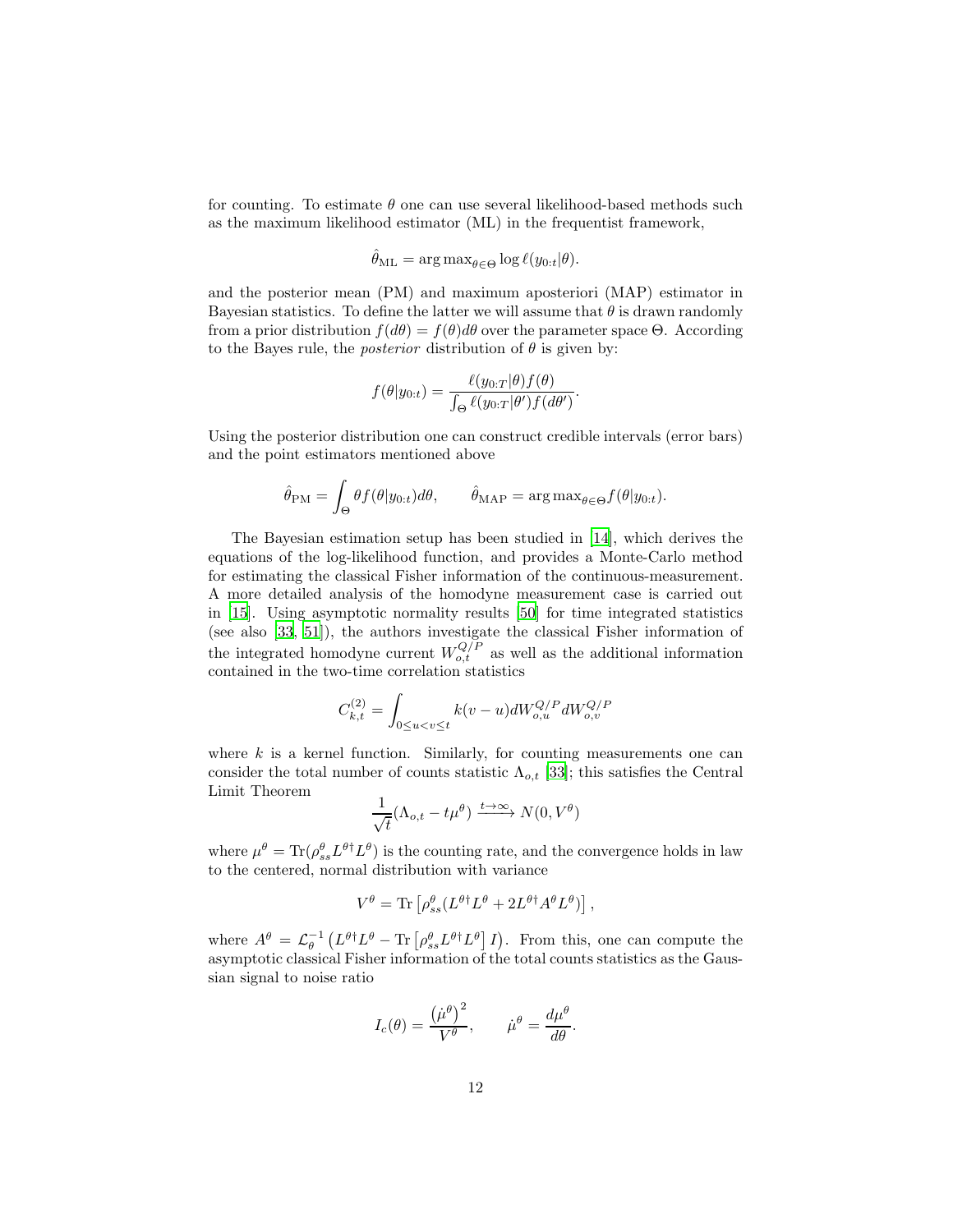for counting. To estimate  $\theta$  one can use several likelihood-based methods such as the maximum likelihood estimator (ML) in the frequentist framework,

$$
\hat{\theta}_{\mathrm{ML}} = \arg \max_{\theta \in \Theta} \log \ell(y_{0:t}|\theta).
$$

and the posterior mean (PM) and maximum aposteriori (MAP) estimator in Bayesian statistics. To define the latter we will assume that  $\theta$  is drawn randomly from a prior distribution  $f(d\theta) = f(\theta)d\theta$  over the parameter space  $\Theta$ . According to the Bayes rule, the *posterior* distribution of  $\theta$  is given by:

$$
f(\theta|y_{0:t}) = \frac{\ell(y_{0:T}|\theta)f(\theta)}{\int_{\Theta} \ell(y_{0:T}|\theta')f(d\theta')}.
$$

Using the posterior distribution one can construct credible intervals (error bars) and the point estimators mentioned above

$$
\hat{\theta}_{\text{PM}} = \int_{\Theta} \theta f(\theta | y_{0:t}) d\theta, \qquad \hat{\theta}_{\text{MAP}} = \arg \max_{\theta \in \Theta} f(\theta | y_{0:t}).
$$

The Bayesian estimation setup has been studied in [\[14](#page-21-4)], which derives the equations of the log-likelihood function, and provides a Monte-Carlo method for estimating the classical Fisher information of the continuous-measurement. A more detailed analysis of the homodyne measurement case is carried out in [\[15\]](#page-21-5). Using asymptotic normality results [\[50](#page-23-9)] for time integrated statistics (see also [\[33,](#page-22-6) [51\]](#page-23-10)), the authors investigate the classical Fisher information of the integrated homodyne current  $W_{o,t}^{Q/P}$  as well as the additional information contained in the two-time correlation statistics

$$
C_{k,t}^{(2)} = \int_{0 \leq u
$$

where  $k$  is a kernel function. Similarly, for counting measurements one can consider the total number of counts statistic  $\Lambda_{o,t}$  [\[33\]](#page-22-6); this satisfies the Central Limit Theorem

$$
\frac{1}{\sqrt{t}}(\Lambda_{o,t} - t\mu^{\theta}) \xrightarrow{t \to \infty} N(0, V^{\theta})
$$

where  $\mu^{\theta} = \text{Tr}(\rho_{ss}^{\theta} L^{\theta \dagger} L^{\theta})$  is the counting rate, and the convergence holds in law to the centered, normal distribution with variance

$$
V^{\theta} = \text{Tr} \left[ \rho_{ss}^{\theta} (L^{\theta \dagger} L^{\theta} + 2L^{\theta \dagger} A^{\theta} L^{\theta}) \right],
$$

where  $A^{\theta} = \mathcal{L}_{\theta}^{-1} (L^{\theta \dagger} L^{\theta} - \text{Tr} [\rho_{ss}^{\theta} L^{\theta \dagger} L^{\theta}] I).$  From this, one can compute the asymptotic classical Fisher information of the total counts statistics as the Gaussian signal to noise ratio

$$
I_c(\theta) = \frac{(\mu^{\theta})^2}{V^{\theta}}, \qquad \mu^{\theta} = \frac{d\mu^{\theta}}{d\theta}.
$$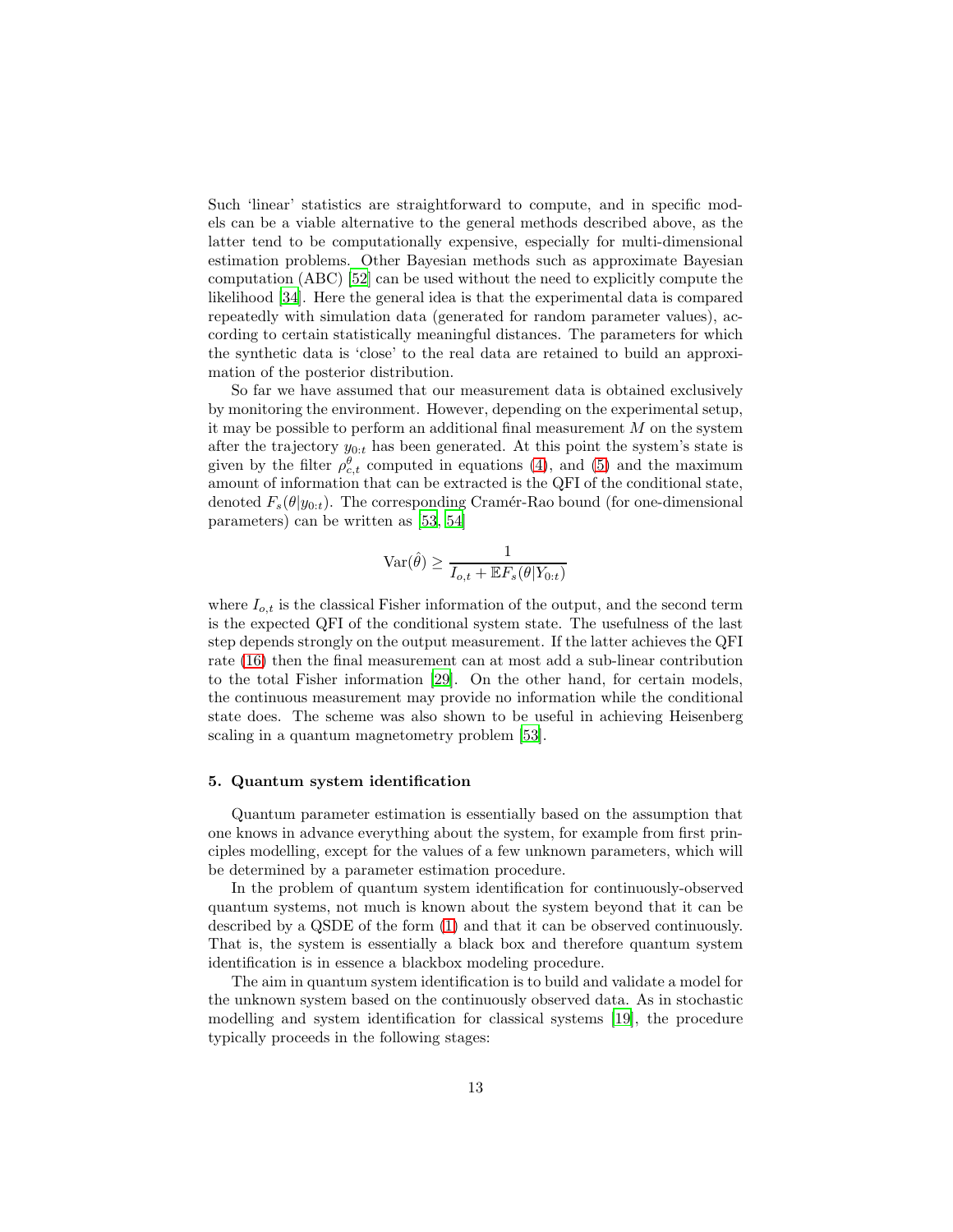Such 'linear' statistics are straightforward to compute, and in specific models can be a viable alternative to the general methods described above, as the latter tend to be computationally expensive, especially for multi-dimensional estimation problems. Other Bayesian methods such as approximate Bayesian computation (ABC) [\[52](#page-23-11)] can be used without the need to explicitly compute the likelihood [\[34\]](#page-22-7). Here the general idea is that the experimental data is compared repeatedly with simulation data (generated for random parameter values), according to certain statistically meaningful distances. The parameters for which the synthetic data is 'close' to the real data are retained to build an approximation of the posterior distribution.

So far we have assumed that our measurement data is obtained exclusively by monitoring the environment. However, depending on the experimental setup, it may be possible to perform an additional final measurement  $M$  on the system after the trajectory  $y_{0:t}$  has been generated. At this point the system's state is given by the filter  $\rho_{c,t}^{\theta}$  computed in equations [\(4\)](#page-5-1), and [\(5\)](#page-5-2) and the maximum amount of information that can be extracted is the QFI of the conditional state, denoted  $F_s(\theta|y_{0:t})$ . The corresponding Cramér-Rao bound (for one-dimensional parameters) can be written as [\[53,](#page-23-12) [54\]](#page-23-13)

$$
\text{Var}(\hat{\theta}) \ge \frac{1}{I_{o,t} + \mathbb{E}F_s(\theta|Y_{0:t})}
$$

where  $I_{o,t}$  is the classical Fisher information of the output, and the second term is the expected QFI of the conditional system state. The usefulness of the last step depends strongly on the output measurement. If the latter achieves the QFI rate [\(16\)](#page-9-0) then the final measurement can at most add a sub-linear contribution to the total Fisher information [\[29](#page-22-2)]. On the other hand, for certain models, the continuous measurement may provide no information while the conditional state does. The scheme was also shown to be useful in achieving Heisenberg scaling in a quantum magnetometry problem [\[53](#page-23-12)].

## <span id="page-12-0"></span>5. Quantum system identification

Quantum parameter estimation is essentially based on the assumption that one knows in advance everything about the system, for example from first principles modelling, except for the values of a few unknown parameters, which will be determined by a parameter estimation procedure.

In the problem of quantum system identification for continuously-observed quantum systems, not much is known about the system beyond that it can be described by a QSDE of the form [\(1\)](#page-3-1) and that it can be observed continuously. That is, the system is essentially a black box and therefore quantum system identification is in essence a blackbox modeling procedure.

The aim in quantum system identification is to build and validate a model for the unknown system based on the continuously observed data. As in stochastic modelling and system identification for classical systems [\[19](#page-21-9)], the procedure typically proceeds in the following stages: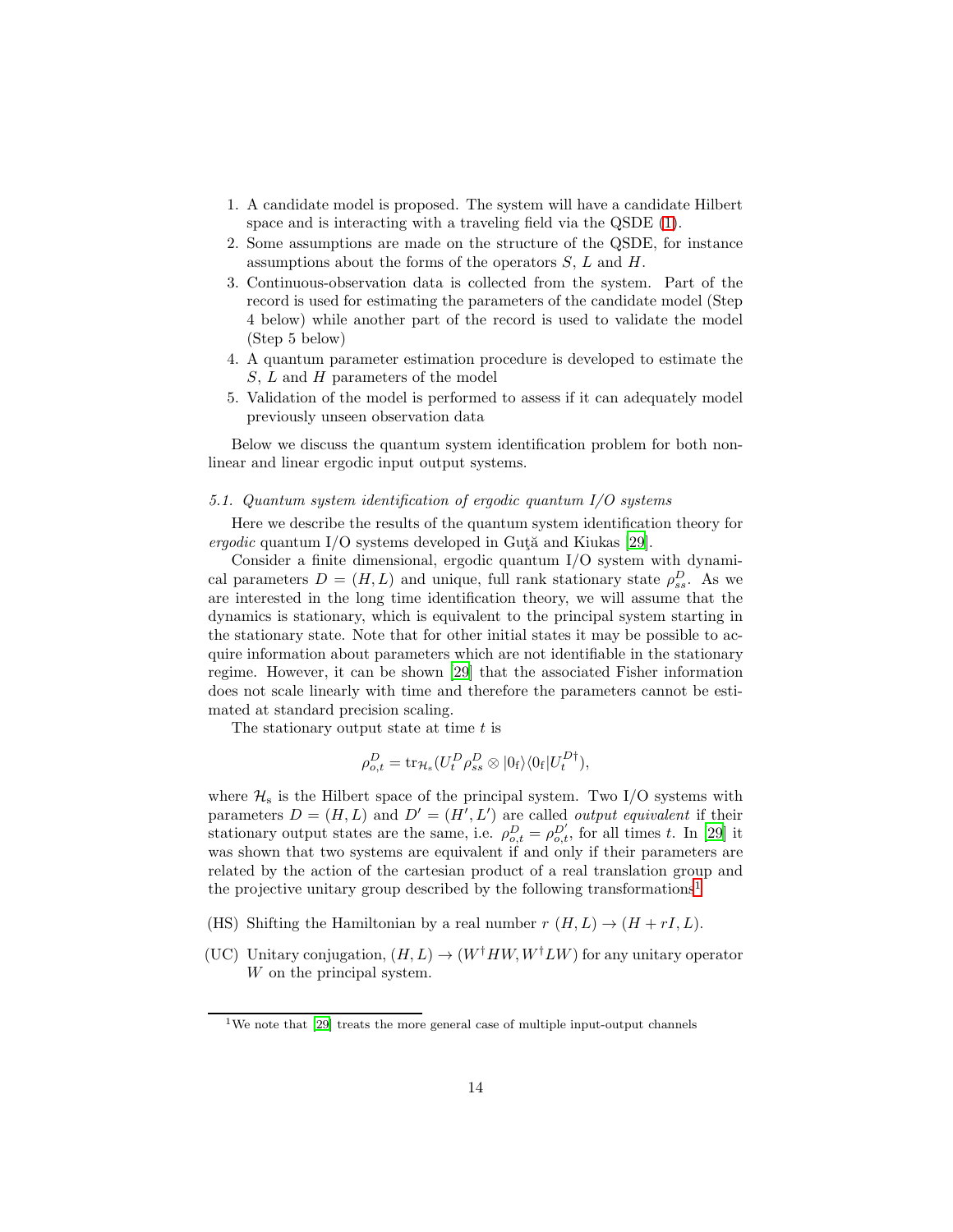- 1. A candidate model is proposed. The system will have a candidate Hilbert space and is interacting with a traveling field via the QSDE [\(1\)](#page-3-1).
- 2. Some assumptions are made on the structure of the QSDE, for instance assumptions about the forms of the operators  $S, L$  and  $H$ .
- 3. Continuous-observation data is collected from the system. Part of the record is used for estimating the parameters of the candidate model (Step 4 below) while another part of the record is used to validate the model (Step 5 below)
- 4. A quantum parameter estimation procedure is developed to estimate the  $S, L$  and  $H$  parameters of the model
- 5. Validation of the model is performed to assess if it can adequately model previously unseen observation data

Below we discuss the quantum system identification problem for both nonlinear and linear ergodic input output systems.

## <span id="page-13-1"></span>5.1. Quantum system identification of ergodic quantum I/O systems

Here we describe the results of the quantum system identification theory for ergodic quantum I/O systems developed in Gut $\tilde{a}$  and Kiukas [\[29](#page-22-2)].

Consider a finite dimensional, ergodic quantum I/O system with dynamical parameters  $D = (H, L)$  and unique, full rank stationary state  $\rho_{ss}^D$ . As we are interested in the long time identification theory, we will assume that the dynamics is stationary, which is equivalent to the principal system starting in the stationary state. Note that for other initial states it may be possible to acquire information about parameters which are not identifiable in the stationary regime. However, it can be shown [\[29\]](#page-22-2) that the associated Fisher information does not scale linearly with time and therefore the parameters cannot be estimated at standard precision scaling.

The stationary output state at time  $t$  is

$$
\rho_{o,t}^D = \text{tr}_{\mathcal{H}_s}(U_t^D \rho_{ss}^D \otimes |0_{\text{f}}\rangle\langle 0_{\text{f}}|U_t^D{}^{\dagger}),
$$

where  $\mathcal{H}_s$  is the Hilbert space of the principal system. Two I/O systems with parameters  $D = (H, L)$  and  $D' = (H', L')$  are called *output equivalent* if their stationary output states are the same, i.e.  $\rho_{o,t}^D = \rho_{o,t}^{D'}$ , for all times t. In [\[29\]](#page-22-2) it was shown that two systems are equivalent if and only if their parameters are related by the action of the cartesian product of a real translation group and the projective unitary group described by the following transformations[1](#page-13-0)

- (HS) Shifting the Hamiltonian by a real number  $r(H, L) \rightarrow (H + rI, L)$ .
- (UC) Unitary conjugation,  $(H, L) \rightarrow (W^{\dagger} H W, W^{\dagger} L W)$  for any unitary operator W on the principal system.

<span id="page-13-0"></span><sup>&</sup>lt;sup>1</sup>We note that [\[29\]](#page-22-2) treats the more general case of multiple input-output channels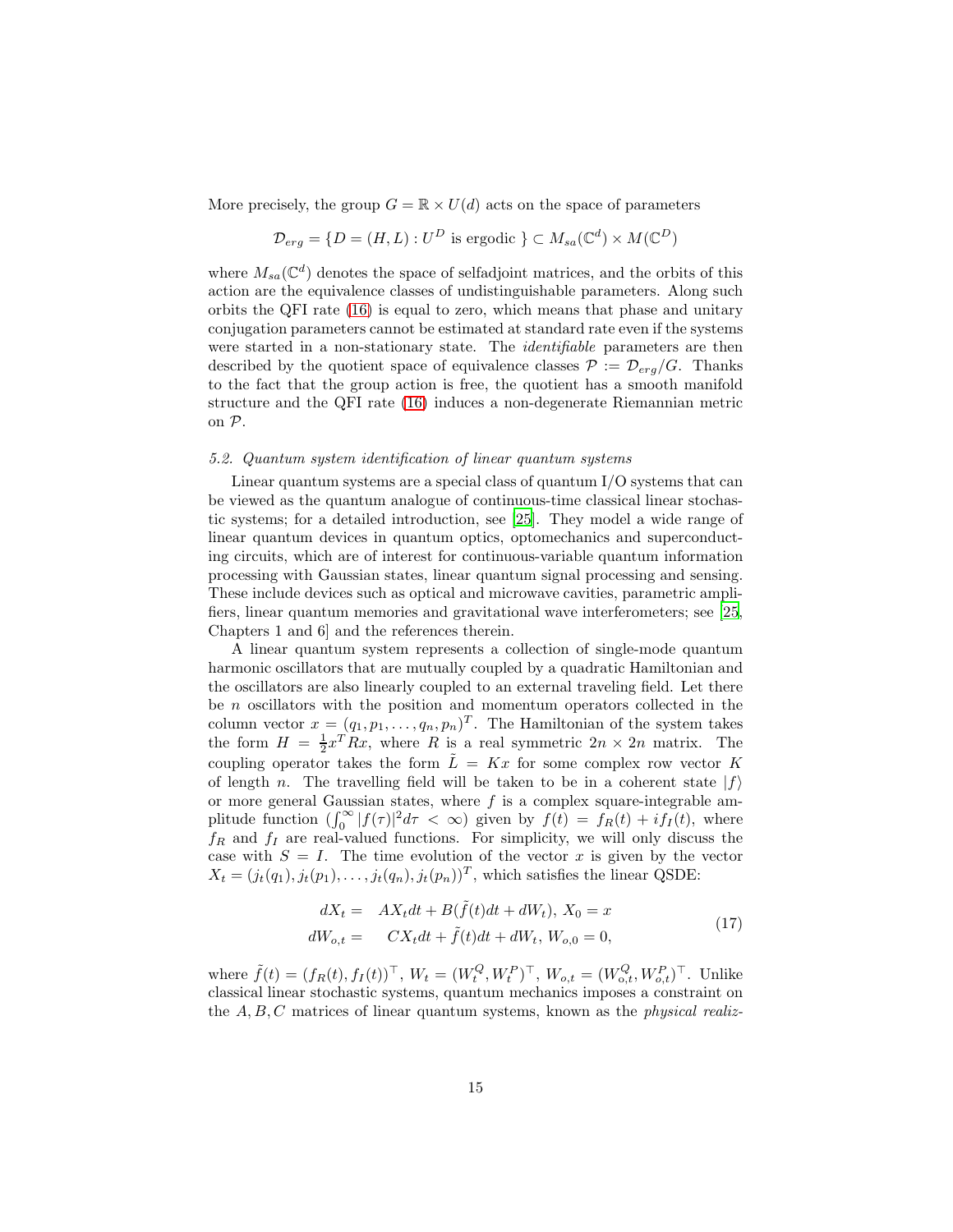More precisely, the group  $G = \mathbb{R} \times U(d)$  acts on the space of parameters

$$
\mathcal{D}_{erg} = \{ D = (H, L) : U^D \text{ is ergodic } \} \subset M_{sa}(\mathbb{C}^d) \times M(\mathbb{C}^D)
$$

where  $M_{sa}(\mathbb{C}^d)$  denotes the space of selfadjoint matrices, and the orbits of this action are the equivalence classes of undistinguishable parameters. Along such orbits the QFI rate [\(16\)](#page-9-0) is equal to zero, which means that phase and unitary conjugation parameters cannot be estimated at standard rate even if the systems were started in a non-stationary state. The *identifiable* parameters are then described by the quotient space of equivalence classes  $P := \mathcal{D}_{erg}/G$ . Thanks to the fact that the group action is free, the quotient has a smooth manifold structure and the QFI rate [\(16\)](#page-9-0) induces a non-degenerate Riemannian metric on P.

## <span id="page-14-0"></span>5.2. Quantum system identification of linear quantum systems

Linear quantum systems are a special class of quantum  $I/O$  systems that can be viewed as the quantum analogue of continuous-time classical linear stochastic systems; for a detailed introduction, see [\[25\]](#page-21-15). They model a wide range of linear quantum devices in quantum optics, optomechanics and superconducting circuits, which are of interest for continuous-variable quantum information processing with Gaussian states, linear quantum signal processing and sensing. These include devices such as optical and microwave cavities, parametric amplifiers, linear quantum memories and gravitational wave interferometers; see [\[25,](#page-21-15) Chapters 1 and 6] and the references therein.

A linear quantum system represents a collection of single-mode quantum harmonic oscillators that are mutually coupled by a quadratic Hamiltonian and the oscillators are also linearly coupled to an external traveling field. Let there be  $n$  oscillators with the position and momentum operators collected in the column vector  $x = (q_1, p_1, \ldots, q_n, p_n)^T$ . The Hamiltonian of the system takes the form  $H = \frac{1}{2}x^T R x$ , where R is a real symmetric  $2n \times 2n$  matrix. The coupling operator takes the form  $\tilde{L} = Kx$  for some complex row vector K of length n. The travelling field will be taken to be in a coherent state  $|f\rangle$ or more general Gaussian states, where  $f$  is a complex square-integrable amplitude function  $(\int_0^\infty |f(\tau)|^2 d\tau < \infty)$  given by  $f(t) = f_R(t) + i f_I(t)$ , where  $f_R$  and  $f_I$  are real-valued functions. For simplicity, we will only discuss the case with  $S = I$ . The time evolution of the vector x is given by the vector  $X_t = (j_t(q_1), j_t(p_1), \ldots, j_t(q_n), j_t(p_n))^T$ , which satisfies the linear QSDE:

<span id="page-14-1"></span>
$$
dX_t = AX_t dt + B(\tilde{f}(t)dt + dW_t), X_0 = x
$$
  
\n
$$
dW_{o,t} = CX_t dt + \tilde{f}(t)dt + dW_t, W_{o,0} = 0,
$$
\n(17)

where  $\tilde{f}(t) = (f_R(t), f_I(t))^{\top}$ ,  $W_t = (W_t^Q, W_t^P)^{\top}$ ,  $W_{o,t} = (W_{o,t}^Q, W_{o,t}^P)^{\top}$ . Unlike classical linear stochastic systems, quantum mechanics imposes a constraint on the  $A, B, C$  matrices of linear quantum systems, known as the *physical realiz-*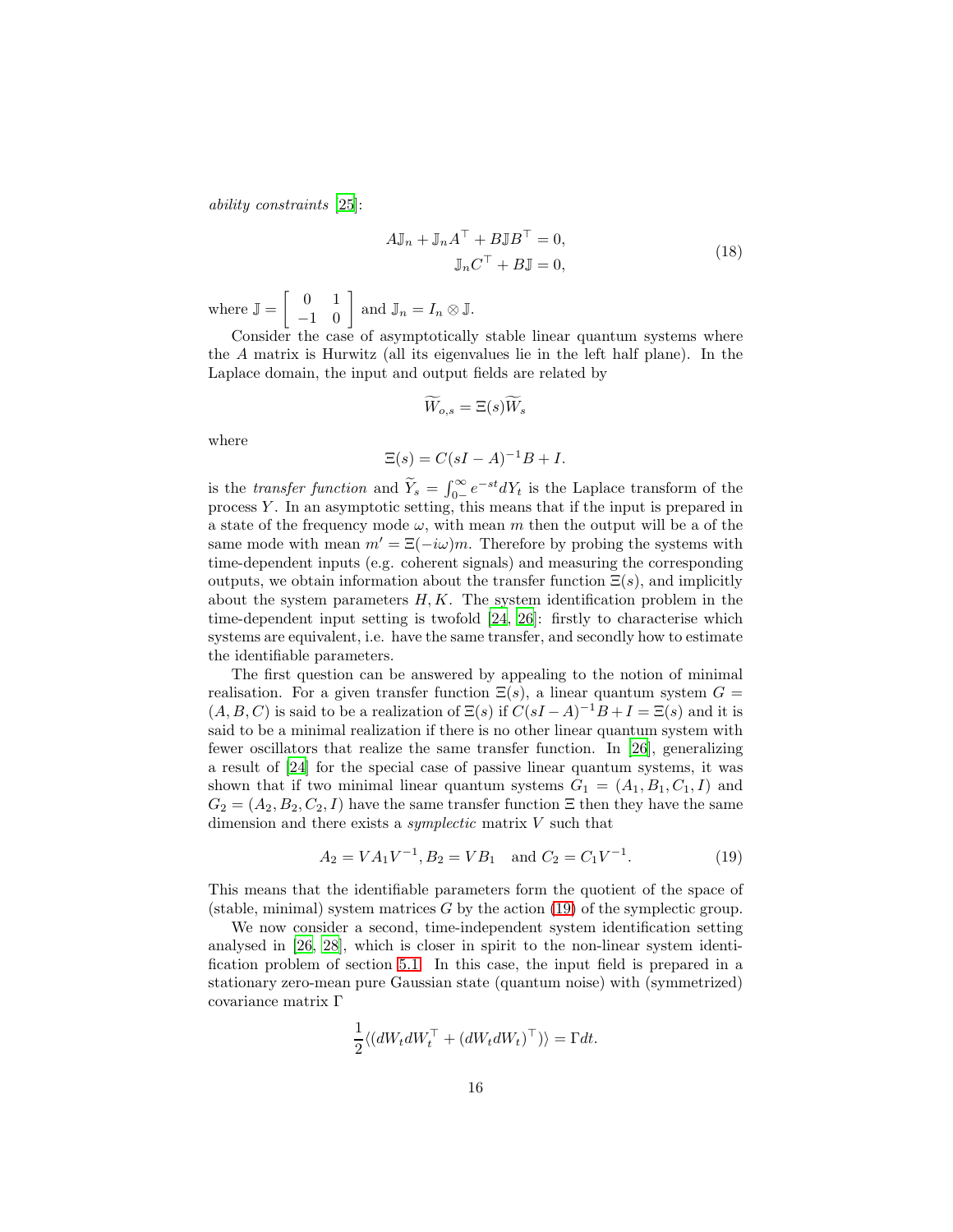ability constraints [\[25\]](#page-21-15):

<span id="page-15-1"></span>
$$
A\mathbb{J}_n + \mathbb{J}_n A^{\top} + B\mathbb{J} B^{\top} = 0,
$$
  

$$
\mathbb{J}_n C^{\top} + B\mathbb{J} = 0,
$$
 (18)

where  $\mathbb{J} = \begin{bmatrix} 0 & 1 \\ -1 & 0 \end{bmatrix}$  and  $\mathbb{J}_n = I_n \otimes \mathbb{J}$ .

Consider the case of asymptotically stable linear quantum systems where the A matrix is Hurwitz (all its eigenvalues lie in the left half plane). In the Laplace domain, the input and output fields are related by

$$
\widetilde{W}_{o,s} = \Xi(s)\widetilde{W}_s
$$

where

$$
\Xi(s) = C(sI - A)^{-1}B + I.
$$

is the *transfer function* and  $\widetilde{Y}_s = \int_{0-}^{\infty} e^{-st} dY_t$  is the Laplace transform of the process Y . In an asymptotic setting, this means that if the input is prepared in a state of the frequency mode  $\omega$ , with mean m then the output will be a of the same mode with mean  $m' = \Xi(-i\omega)m$ . Therefore by probing the systems with time-dependent inputs (e.g. coherent signals) and measuring the corresponding outputs, we obtain information about the transfer function  $\Xi(s)$ , and implicitly about the system parameters  $H, K$ . The system identification problem in the time-dependent input setting is twofold [\[24,](#page-21-14) [26\]](#page-21-16): firstly to characterise which systems are equivalent, i.e. have the same transfer, and secondly how to estimate the identifiable parameters.

The first question can be answered by appealing to the notion of minimal realisation. For a given transfer function  $\Xi(s)$ , a linear quantum system  $G =$  $(A, B, C)$  is said to be a realization of  $\Xi(s)$  if  $C(sI - A)^{-1}B + I = \Xi(s)$  and it is said to be a minimal realization if there is no other linear quantum system with fewer oscillators that realize the same transfer function. In [\[26](#page-21-16)], generalizing a result of [\[24](#page-21-14)] for the special case of passive linear quantum systems, it was shown that if two minimal linear quantum systems  $G_1 = (A_1, B_1, C_1, I)$  and  $G_2 = (A_2, B_2, C_2, I)$  have the same transfer function  $\Xi$  then they have the same dimension and there exists a *symplectic* matrix  $V$  such that

<span id="page-15-0"></span>
$$
A_2 = VA_1V^{-1}, B_2 = VB_1 \text{ and } C_2 = C_1V^{-1}.
$$
 (19)

This means that the identifiable parameters form the quotient of the space of (stable, minimal) system matrices  $G$  by the action [\(19\)](#page-15-0) of the symplectic group.

We now consider a second, time-independent system identification setting analysed in [\[26,](#page-21-16) [28\]](#page-22-1), which is closer in spirit to the non-linear system identification problem of section [5.1.](#page-13-1) In this case, the input field is prepared in a stationary zero-mean pure Gaussian state (quantum noise) with (symmetrized) covariance matrix Γ

$$
\frac{1}{2} \langle (dW_t dW_t^\top + (dW_t dW_t)^\top) \rangle = \Gamma dt.
$$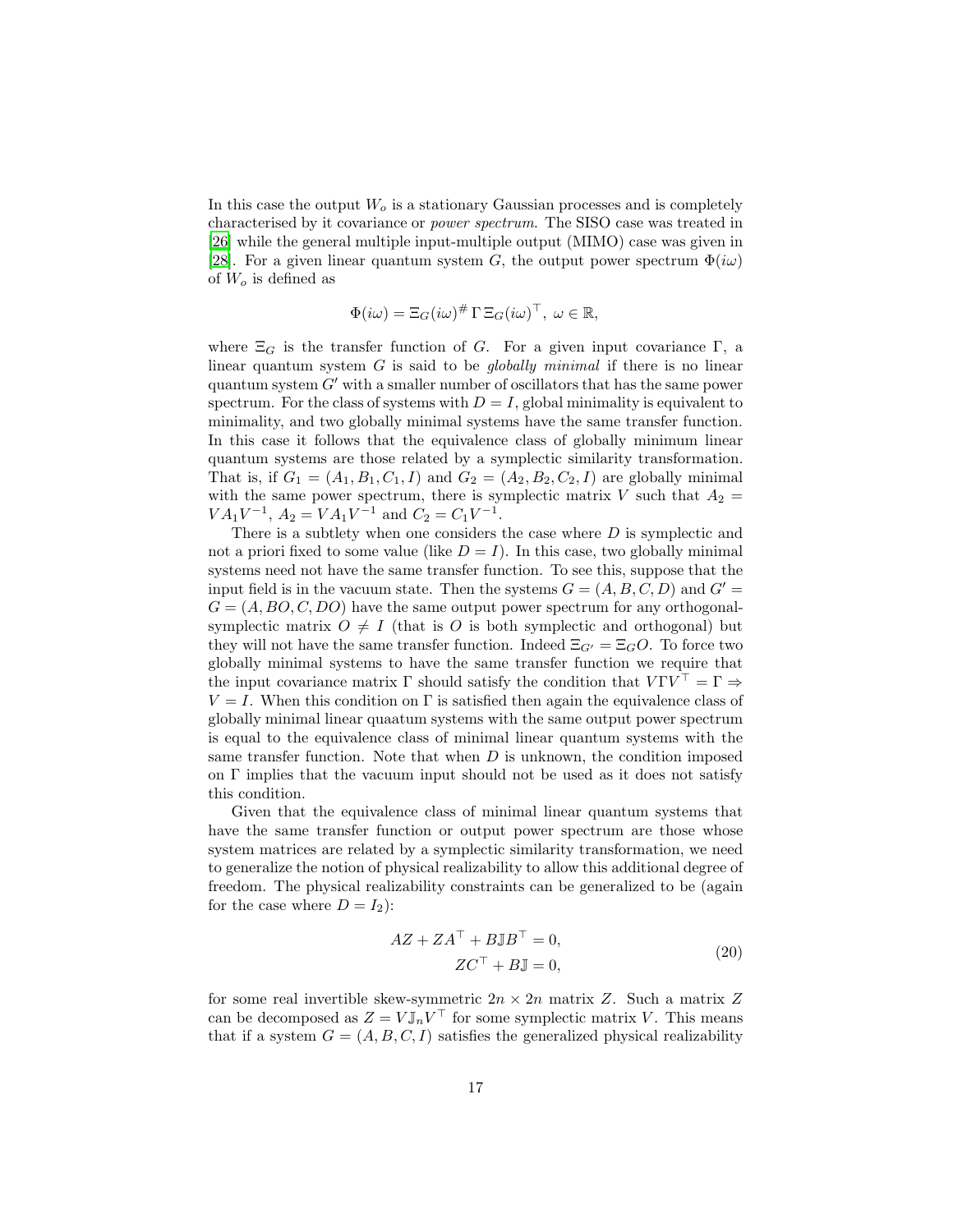In this case the output  $W<sub>o</sub>$  is a stationary Gaussian processes and is completely characterised by it covariance or power spectrum. The SISO case was treated in [\[26\]](#page-21-16) while the general multiple input-multiple output (MIMO) case was given in [\[28\]](#page-22-1). For a given linear quantum system G, the output power spectrum  $\Phi(i\omega)$ of  $W<sub>o</sub>$  is defined as

$$
\Phi(i\omega) = \Xi_G(i\omega)^{\#} \Gamma \Xi_G(i\omega)^{\top}, \ \omega \in \mathbb{R},
$$

where  $\Xi_G$  is the transfer function of G. For a given input covariance Γ, a linear quantum system  $G$  is said to be *globally minimal* if there is no linear quantum system  $G'$  with a smaller number of oscillators that has the same power spectrum. For the class of systems with  $D = I$ , global minimality is equivalent to minimality, and two globally minimal systems have the same transfer function. In this case it follows that the equivalence class of globally minimum linear quantum systems are those related by a symplectic similarity transformation. That is, if  $G_1 = (A_1, B_1, C_1, I)$  and  $G_2 = (A_2, B_2, C_2, I)$  are globally minimal with the same power spectrum, there is symplectic matrix  $V$  such that  $A_2 =$  $VA_1V^{-1}$ ,  $A_2 = VA_1V^{-1}$  and  $C_2 = C_1V^{-1}$ .

There is a subtlety when one considers the case where D is symplectic and not a priori fixed to some value (like  $D = I$ ). In this case, two globally minimal systems need not have the same transfer function. To see this, suppose that the input field is in the vacuum state. Then the systems  $G = (A, B, C, D)$  and  $G' =$  $G = (A, BO, C, DO)$  have the same output power spectrum for any orthogonalsymplectic matrix  $O \neq I$  (that is O is both symplectic and orthogonal) but they will not have the same transfer function. Indeed  $\Xi_{G'} = \Xi_G O$ . To force two globally minimal systems to have the same transfer function we require that the input covariance matrix  $\Gamma$  should satisfy the condition that  $V \Gamma V^{\top} = \Gamma \Rightarrow$  $V = I$ . When this condition on Γ is satisfied then again the equivalence class of globally minimal linear quaatum systems with the same output power spectrum is equal to the equivalence class of minimal linear quantum systems with the same transfer function. Note that when  $D$  is unknown, the condition imposed on  $\Gamma$  implies that the vacuum input should not be used as it does not satisfy this condition.

Given that the equivalence class of minimal linear quantum systems that have the same transfer function or output power spectrum are those whose system matrices are related by a symplectic similarity transformation, we need to generalize the notion of physical realizability to allow this additional degree of freedom. The physical realizability constraints can be generalized to be (again for the case where  $D = I_2$ :

<span id="page-16-0"></span>
$$
AZ + ZA^{\top} + B\mathbb{J}B^{\top} = 0,
$$
  

$$
ZC^{\top} + B\mathbb{J} = 0,
$$
 (20)

for some real invertible skew-symmetric  $2n \times 2n$  matrix Z. Such a matrix Z can be decomposed as  $Z = V \mathbb{J}_n V^\top$  for some symplectic matrix V. This means that if a system  $G = (A, B, C, I)$  satisfies the generalized physical realizability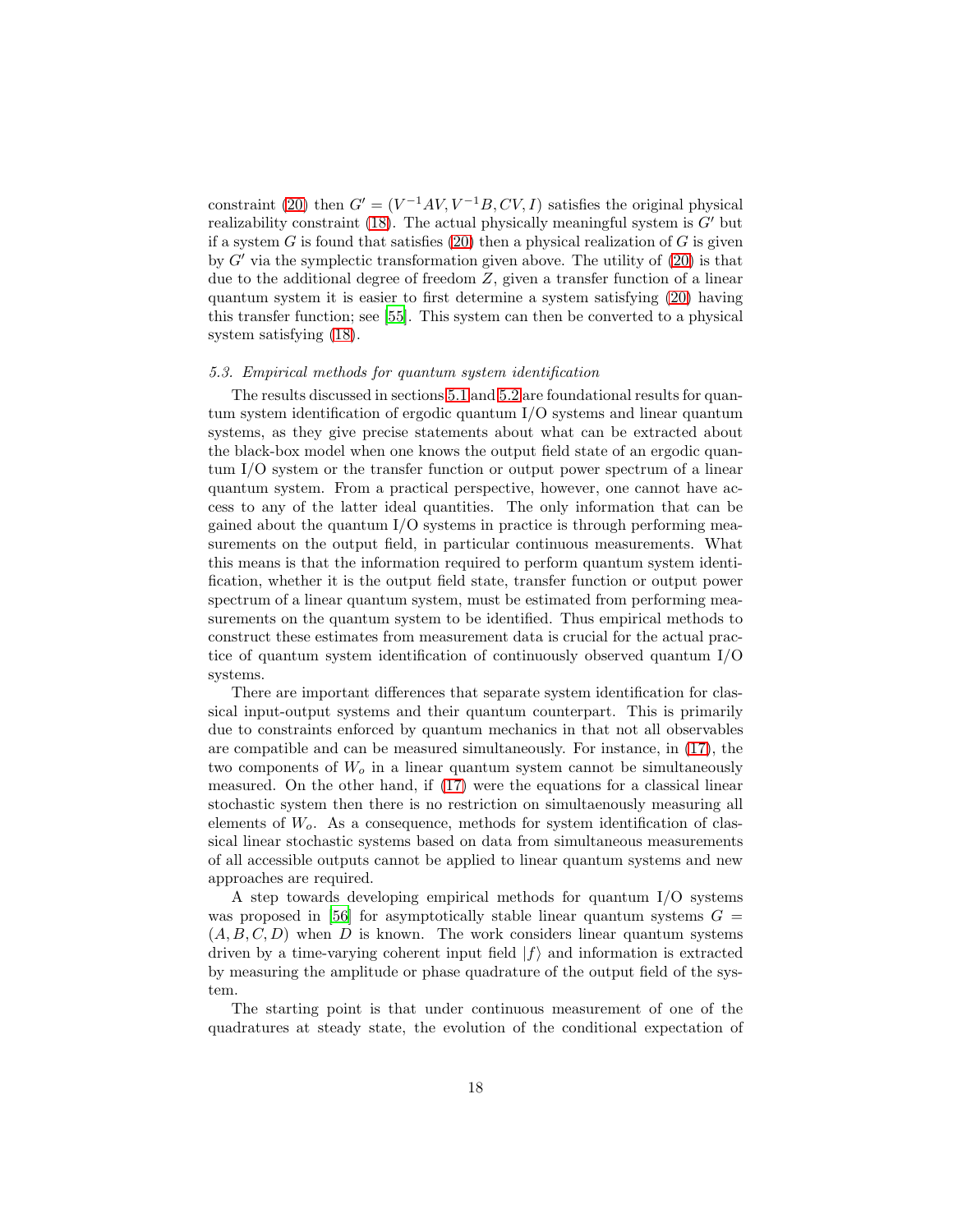constraint [\(20\)](#page-16-0) then  $G' = (V^{-1}AV, V^{-1}B, CV, I)$  satisfies the original physical realizability constraint [\(18\)](#page-15-1). The actual physically meaningful system is  $G'$  but if a system  $G$  is found that satisfies [\(20\)](#page-16-0) then a physical realization of  $G$  is given by  $G'$  via the symplectic transformation given above. The utility of  $(20)$  is that due to the additional degree of freedom Z, given a transfer function of a linear quantum system it is easier to first determine a system satisfying [\(20\)](#page-16-0) having this transfer function; see [\[55\]](#page-24-0). This system can then be converted to a physical system satisfying [\(18\)](#page-15-1).

### 5.3. Empirical methods for quantum system identification

The results discussed in sections [5.1](#page-13-1) and [5.2](#page-14-0) are foundational results for quantum system identification of ergodic quantum I/O systems and linear quantum systems, as they give precise statements about what can be extracted about the black-box model when one knows the output field state of an ergodic quantum I/O system or the transfer function or output power spectrum of a linear quantum system. From a practical perspective, however, one cannot have access to any of the latter ideal quantities. The only information that can be gained about the quantum  $I/O$  systems in practice is through performing measurements on the output field, in particular continuous measurements. What this means is that the information required to perform quantum system identification, whether it is the output field state, transfer function or output power spectrum of a linear quantum system, must be estimated from performing measurements on the quantum system to be identified. Thus empirical methods to construct these estimates from measurement data is crucial for the actual practice of quantum system identification of continuously observed quantum I/O systems.

There are important differences that separate system identification for classical input-output systems and their quantum counterpart. This is primarily due to constraints enforced by quantum mechanics in that not all observables are compatible and can be measured simultaneously. For instance, in [\(17\)](#page-14-1), the two components of  $W<sub>o</sub>$  in a linear quantum system cannot be simultaneously measured. On the other hand, if [\(17\)](#page-14-1) were the equations for a classical linear stochastic system then there is no restriction on simultaenously measuring all elements of  $W<sub>o</sub>$ . As a consequence, methods for system identification of classical linear stochastic systems based on data from simultaneous measurements of all accessible outputs cannot be applied to linear quantum systems and new approaches are required.

A step towards developing empirical methods for quantum I/O systems was proposed in [\[56\]](#page-24-1) for asymptotically stable linear quantum systems  $G =$  $(A, B, C, D)$  when D is known. The work considers linear quantum systems driven by a time-varying coherent input field  $|f\rangle$  and information is extracted by measuring the amplitude or phase quadrature of the output field of the system.

The starting point is that under continuous measurement of one of the quadratures at steady state, the evolution of the conditional expectation of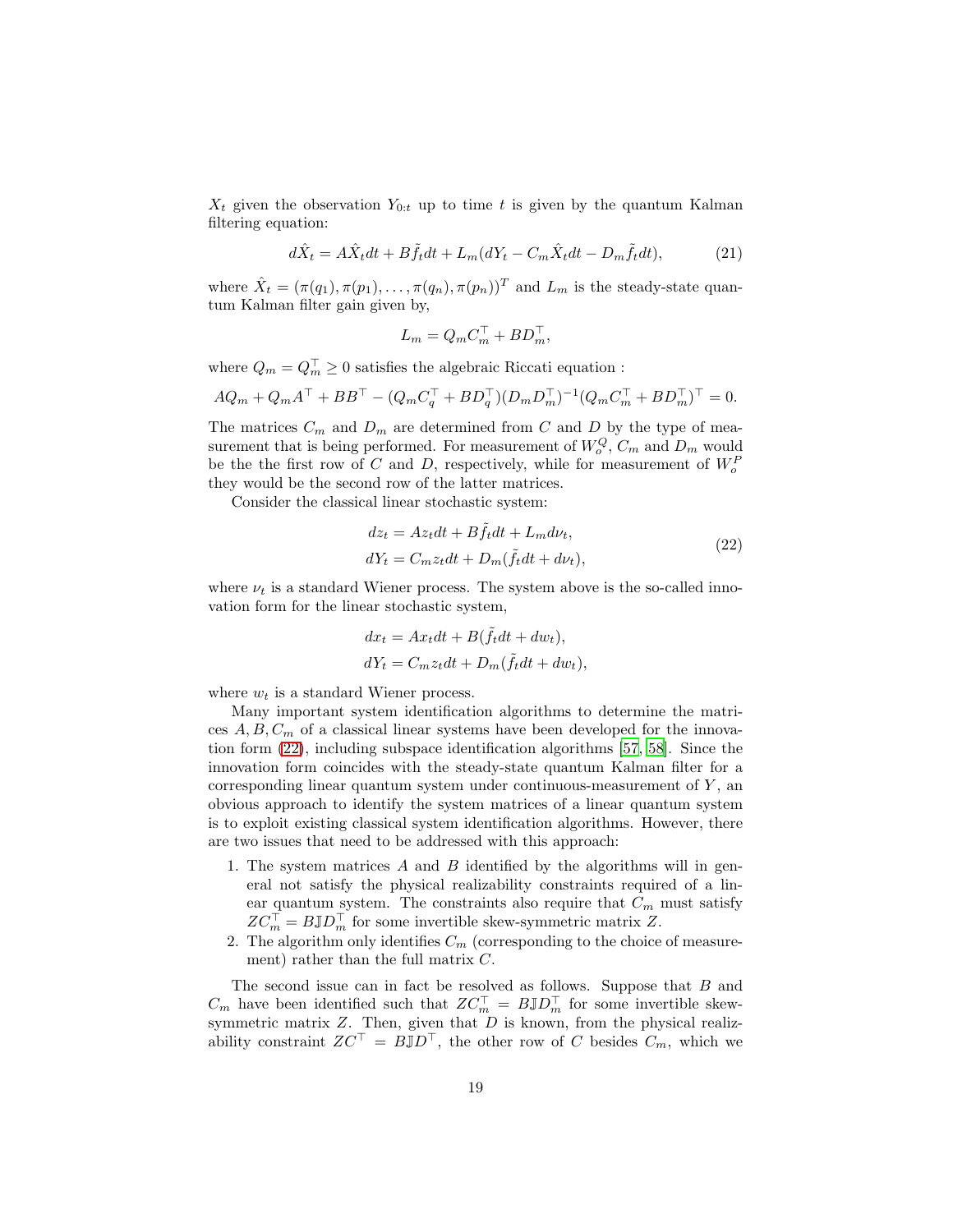$X_t$  given the observation  $Y_{0:t}$  up to time t is given by the quantum Kalman filtering equation:

$$
d\hat{X}_t = A\hat{X}_t dt + B\tilde{f}_t dt + L_m (dY_t - C_m \hat{X}_t dt - D_m \tilde{f}_t dt),
$$
\n(21)

where  $\hat{X}_t = (\pi(q_1), \pi(p_1), \dots, \pi(q_n), \pi(p_n))^T$  and  $L_m$  is the steady-state quantum Kalman filter gain given by,

$$
L_m = Q_m C_m^{\top} + BD_m^{\top},
$$

where  $Q_m = Q_m^{\top} \geq 0$  satisfies the algebraic Riccati equation :

$$
AQ_m + Q_m A^{\top} + BB^{\top} - (Q_m C_q^{\top} + BD_q^{\top})(D_m D_m^{\top})^{-1}(Q_m C_m^{\top} + BD_m^{\top})^{\top} = 0.
$$

The matrices  $C_m$  and  $D_m$  are determined from C and D by the type of measurement that is being performed. For measurement of  $W_o^Q$ ,  $C_m$  and  $D_m$  would be the the first row of C and D, respectively, while for measurement of  $W^F_o$ they would be the second row of the latter matrices.

Consider the classical linear stochastic system:

<span id="page-18-0"></span>
$$
dz_t = Az_t dt + B\tilde{f}_t dt + L_m d\nu_t,
$$
  
\n
$$
dY_t = C_m z_t dt + D_m(\tilde{f}_t dt + d\nu_t),
$$
\n(22)

where  $\nu_t$  is a standard Wiener process. The system above is the so-called innovation form for the linear stochastic system,

$$
dx_t = Ax_t dt + B(\tilde{f}_t dt + dw_t),
$$
  

$$
dY_t = C_m z_t dt + D_m(\tilde{f}_t dt + dw_t),
$$

where  $w_t$  is a standard Wiener process.

Many important system identification algorithms to determine the matrices  $A, B, C<sub>m</sub>$  of a classical linear systems have been developed for the innovation form [\(22\)](#page-18-0), including subspace identification algorithms [\[57,](#page-24-2) [58\]](#page-24-3). Since the innovation form coincides with the steady-state quantum Kalman filter for a corresponding linear quantum system under continuous-measurement of  $Y$ , an obvious approach to identify the system matrices of a linear quantum system is to exploit existing classical system identification algorithms. However, there are two issues that need to be addressed with this approach:

- 1. The system matrices A and B identified by the algorithms will in general not satisfy the physical realizability constraints required of a linear quantum system. The constraints also require that  $C_m$  must satisfy  $ZC_m^{\top} = B \mathbb{J} D_m^{\top}$  for some invertible skew-symmetric matrix Z.
- 2. The algorithm only identifies  $C_m$  (corresponding to the choice of measurement) rather than the full matrix C.

The second issue can in fact be resolved as follows. Suppose that B and  $C_m$  have been identified such that  $ZC_m^{\top} = B \mathbb{J}D_m^{\top}$  for some invertible skewsymmetric matrix  $Z$ . Then, given that  $D$  is known, from the physical realizability constraint  $ZC^{\top} = B\overline{\mathbb{J}}D^{\top}$ , the other row of C besides  $C_m$ , which we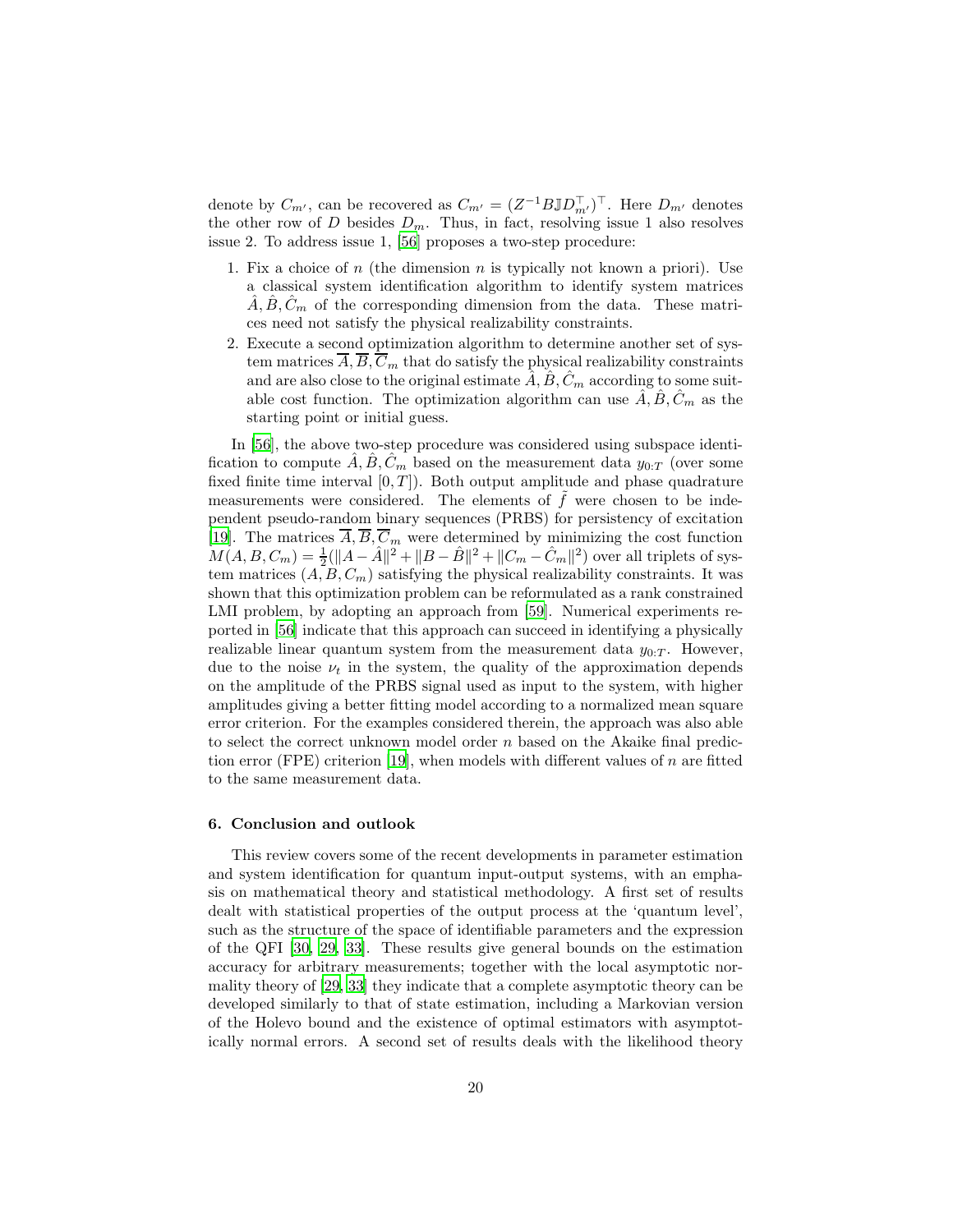denote by  $C_{m'}$ , can be recovered as  $C_{m'} = (Z^{-1}B \mathbb{J}D_{m'}^{\top})^{\top}$ . Here  $D_{m'}$  denotes the other row of D besides  $D_m$ . Thus, in fact, resolving issue 1 also resolves issue 2. To address issue 1, [\[56\]](#page-24-1) proposes a two-step procedure:

- 1. Fix a choice of n (the dimension n is typically not known a priori). Use a classical system identification algorithm to identify system matrices  $A, B, C<sub>m</sub>$  of the corresponding dimension from the data. These matrices need not satisfy the physical realizability constraints.
- 2. Execute a second optimization algorithm to determine another set of system matrices  $\overline{A}$ ,  $\overline{B}$ ,  $\overline{C}_m$  that do satisfy the physical realizability constraints and are also close to the original estimate  $\hat{A}, \hat{B}, \hat{C}_m$  according to some suitable cost function. The optimization algorithm can use  $\hat{A}, \hat{B}, \hat{C}_m$  as the starting point or initial guess.

In [\[56\]](#page-24-1), the above two-step procedure was considered using subspace identification to compute  $\hat{A}, \hat{B}, \hat{C}_m$  based on the measurement data  $y_{0:T}$  (over some fixed finite time interval  $[0, T]$ ). Both output amplitude and phase quadrature measurements were considered. The elements of  $\tilde{f}$  were chosen to be independent pseudo-random binary sequences (PRBS) for persistency of excitation [\[19\]](#page-21-9). The matrices  $\overline{A}$ ,  $\overline{B}$ ,  $\overline{C}_m$  were determined by minimizing the cost function  $M(A, B, C_m) = \frac{1}{2}(\|A - \hat{A}\|^2 + \|B - \hat{B}\|^2 + \|C_m - \hat{C}_m\|^2)$  over all triplets of system matrices  $(A, B, C_m)$  satisfying the physical realizability constraints. It was shown that this optimization problem can be reformulated as a rank constrained LMI problem, by adopting an approach from [\[59\]](#page-24-4). Numerical experiments reported in [\[56\]](#page-24-1) indicate that this approach can succeed in identifying a physically realizable linear quantum system from the measurement data  $y_{0:T}$ . However, due to the noise  $\nu_t$  in the system, the quality of the approximation depends on the amplitude of the PRBS signal used as input to the system, with higher amplitudes giving a better fitting model according to a normalized mean square error criterion. For the examples considered therein, the approach was also able to select the correct unknown model order  $n$  based on the Akaike final predic-tion error (FPE) criterion [\[19\]](#page-21-9), when models with different values of  $n$  are fitted to the same measurement data.

#### <span id="page-19-0"></span>6. Conclusion and outlook

This review covers some of the recent developments in parameter estimation and system identification for quantum input-output systems, with an emphasis on mathematical theory and statistical methodology. A first set of results dealt with statistical properties of the output process at the 'quantum level', such as the structure of the space of identifiable parameters and the expression of the QFI [\[30,](#page-22-3) [29,](#page-22-2) [33\]](#page-22-6). These results give general bounds on the estimation accuracy for arbitrary measurements; together with the local asymptotic normality theory of [\[29](#page-22-2), [33\]](#page-22-6) they indicate that a complete asymptotic theory can be developed similarly to that of state estimation, including a Markovian version of the Holevo bound and the existence of optimal estimators with asymptotically normal errors. A second set of results deals with the likelihood theory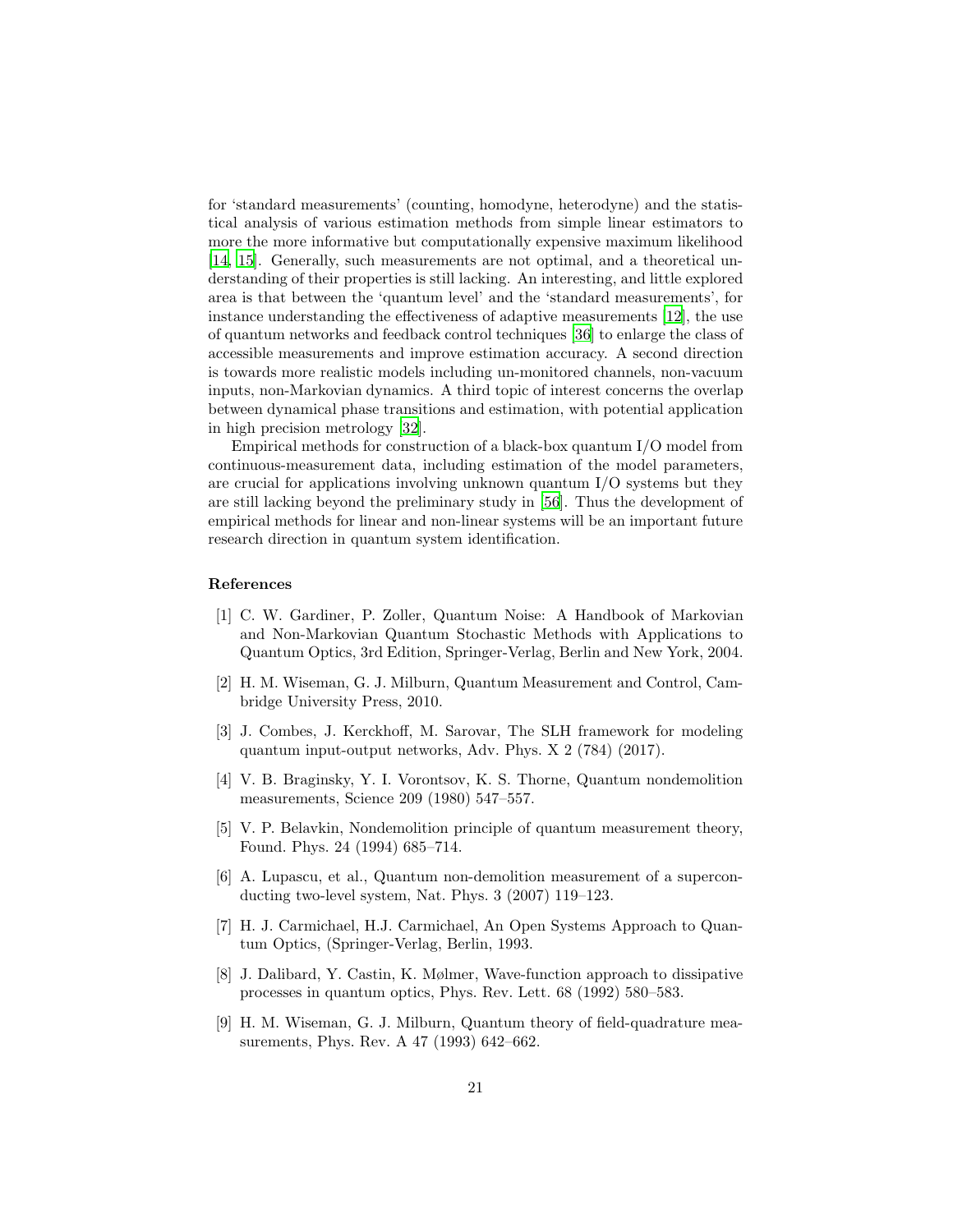for 'standard measurements' (counting, homodyne, heterodyne) and the statistical analysis of various estimation methods from simple linear estimators to more the more informative but computationally expensive maximum likelihood [\[14,](#page-21-4) [15\]](#page-21-5). Generally, such measurements are not optimal, and a theoretical understanding of their properties is still lacking. An interesting, and little explored area is that between the 'quantum level' and the 'standard measurements', for instance understanding the effectiveness of adaptive measurements [\[12](#page-21-2)], the use of quantum networks and feedback control techniques [\[36\]](#page-22-9) to enlarge the class of accessible measurements and improve estimation accuracy. A second direction is towards more realistic models including un-monitored channels, non-vacuum inputs, non-Markovian dynamics. A third topic of interest concerns the overlap between dynamical phase transitions and estimation, with potential application in high precision metrology [\[32\]](#page-22-5).

Empirical methods for construction of a black-box quantum I/O model from continuous-measurement data, including estimation of the model parameters, are crucial for applications involving unknown quantum  $I/O$  systems but they are still lacking beyond the preliminary study in [\[56\]](#page-24-1). Thus the development of empirical methods for linear and non-linear systems will be an important future research direction in quantum system identification.

## References

- <span id="page-20-0"></span>[1] C. W. Gardiner, P. Zoller, Quantum Noise: A Handbook of Markovian and Non-Markovian Quantum Stochastic Methods with Applications to Quantum Optics, 3rd Edition, Springer-Verlag, Berlin and New York, 2004.
- <span id="page-20-1"></span>[2] H. M. Wiseman, G. J. Milburn, Quantum Measurement and Control, Cambridge University Press, 2010.
- <span id="page-20-2"></span>[3] J. Combes, J. Kerckhoff, M. Sarovar, The SLH framework for modeling quantum input-output networks, Adv. Phys. X 2 (784) (2017).
- <span id="page-20-3"></span>[4] V. B. Braginsky, Y. I. Vorontsov, K. S. Thorne, Quantum nondemolition measurements, Science 209 (1980) 547–557.
- <span id="page-20-4"></span>[5] V. P. Belavkin, Nondemolition principle of quantum measurement theory, Found. Phys. 24 (1994) 685–714.
- <span id="page-20-5"></span>[6] A. Lupascu, et al., Quantum non-demolition measurement of a superconducting two-level system, Nat. Phys. 3 (2007) 119–123.
- <span id="page-20-6"></span>[7] H. J. Carmichael, H.J. Carmichael, An Open Systems Approach to Quantum Optics, (Springer-Verlag, Berlin, 1993.
- <span id="page-20-7"></span>[8] J. Dalibard, Y. Castin, K. Mølmer, Wave-function approach to dissipative processes in quantum optics, Phys. Rev. Lett. 68 (1992) 580–583.
- <span id="page-20-8"></span>[9] H. M. Wiseman, G. J. Milburn, Quantum theory of field-quadrature measurements, Phys. Rev. A 47 (1993) 642–662.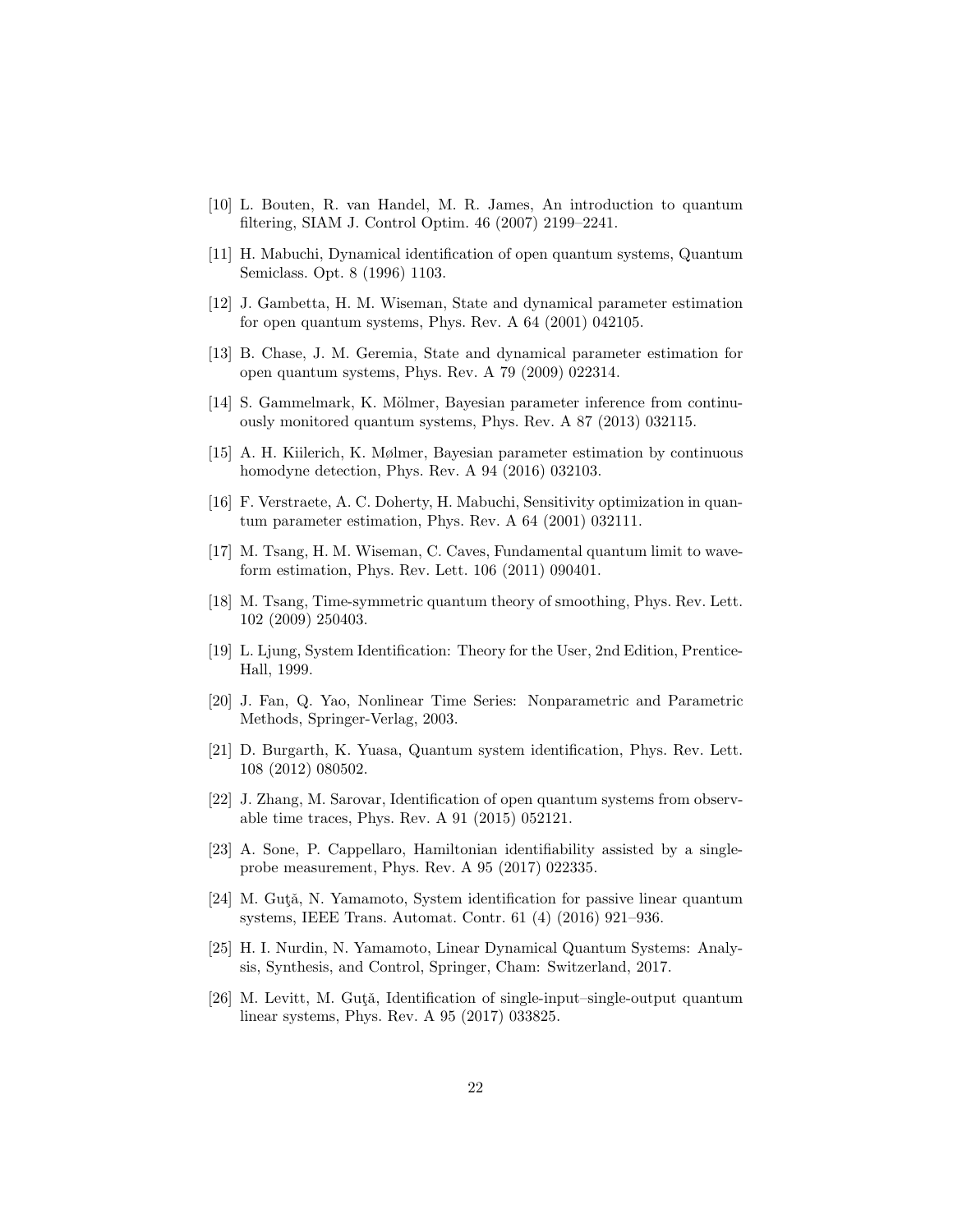- <span id="page-21-0"></span>[10] L. Bouten, R. van Handel, M. R. James, An introduction to quantum filtering, SIAM J. Control Optim. 46 (2007) 2199–2241.
- <span id="page-21-1"></span>[11] H. Mabuchi, Dynamical identification of open quantum systems, Quantum Semiclass. Opt. 8 (1996) 1103.
- <span id="page-21-2"></span>[12] J. Gambetta, H. M. Wiseman, State and dynamical parameter estimation for open quantum systems, Phys. Rev. A 64 (2001) 042105.
- <span id="page-21-3"></span>[13] B. Chase, J. M. Geremia, State and dynamical parameter estimation for open quantum systems, Phys. Rev. A 79 (2009) 022314.
- <span id="page-21-4"></span>[14] S. Gammelmark, K. Mölmer, Bayesian parameter inference from continuously monitored quantum systems, Phys. Rev. A 87 (2013) 032115.
- <span id="page-21-5"></span>[15] A. H. Kiilerich, K. Mølmer, Bayesian parameter estimation by continuous homodyne detection, Phys. Rev. A 94 (2016) 032103.
- <span id="page-21-6"></span>[16] F. Verstraete, A. C. Doherty, H. Mabuchi, Sensitivity optimization in quantum parameter estimation, Phys. Rev. A 64 (2001) 032111.
- <span id="page-21-7"></span>[17] M. Tsang, H. M. Wiseman, C. Caves, Fundamental quantum limit to waveform estimation, Phys. Rev. Lett. 106 (2011) 090401.
- <span id="page-21-8"></span>[18] M. Tsang, Time-symmetric quantum theory of smoothing, Phys. Rev. Lett. 102 (2009) 250403.
- <span id="page-21-9"></span>[19] L. Ljung, System Identification: Theory for the User, 2nd Edition, Prentice-Hall, 1999.
- <span id="page-21-10"></span>[20] J. Fan, Q. Yao, Nonlinear Time Series: Nonparametric and Parametric Methods, Springer-Verlag, 2003.
- <span id="page-21-11"></span>[21] D. Burgarth, K. Yuasa, Quantum system identification, Phys. Rev. Lett. 108 (2012) 080502.
- <span id="page-21-12"></span>[22] J. Zhang, M. Sarovar, Identification of open quantum systems from observable time traces, Phys. Rev. A 91 (2015) 052121.
- <span id="page-21-13"></span>[23] A. Sone, P. Cappellaro, Hamiltonian identifiability assisted by a singleprobe measurement, Phys. Rev. A 95 (2017) 022335.
- <span id="page-21-14"></span>[24] M. Guta, N. Yamamoto, System identification for passive linear quantum systems, IEEE Trans. Automat. Contr. 61 (4) (2016) 921–936.
- <span id="page-21-15"></span>[25] H. I. Nurdin, N. Yamamoto, Linear Dynamical Quantum Systems: Analysis, Synthesis, and Control, Springer, Cham: Switzerland, 2017.
- <span id="page-21-16"></span>[26] M. Levitt, M. Guta, Identification of single-input–single-output quantum linear systems, Phys. Rev. A 95 (2017) 033825.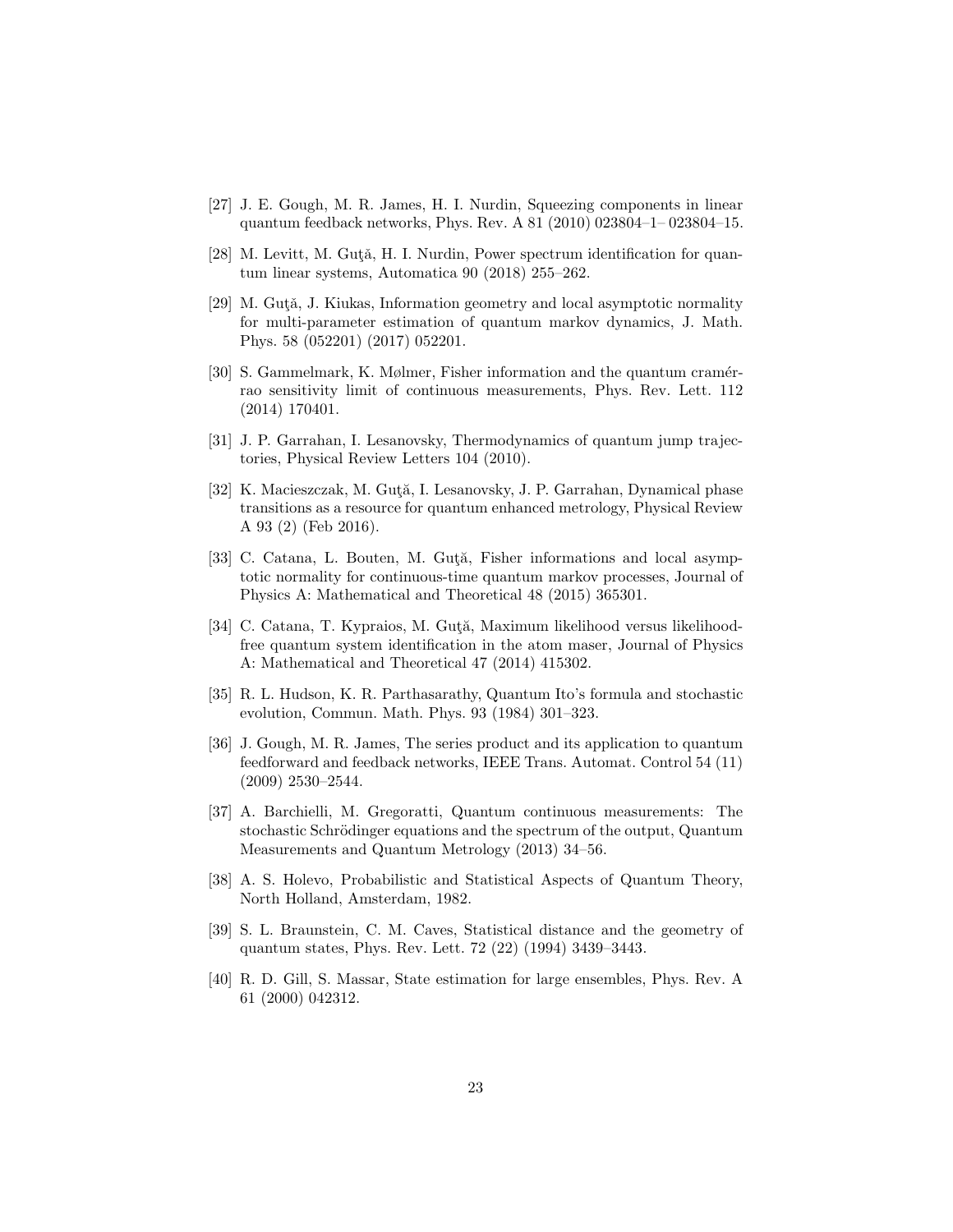- <span id="page-22-0"></span>[27] J. E. Gough, M. R. James, H. I. Nurdin, Squeezing components in linear quantum feedback networks, Phys. Rev. A 81 (2010) 023804–1– 023804–15.
- <span id="page-22-1"></span>[28] M. Levitt, M. Gutǎ, H. I. Nurdin, Power spectrum identification for quantum linear systems, Automatica 90 (2018) 255–262.
- <span id="page-22-2"></span>[29] M. Gutǎ, J. Kiukas, Information geometry and local asymptotic normality for multi-parameter estimation of quantum markov dynamics, J. Math. Phys. 58 (052201) (2017) 052201.
- <span id="page-22-3"></span>[30] S. Gammelmark, K. Mølmer, Fisher information and the quantum cramérrao sensitivity limit of continuous measurements, Phys. Rev. Lett. 112 (2014) 170401.
- <span id="page-22-4"></span>[31] J. P. Garrahan, I. Lesanovsky, Thermodynamics of quantum jump trajectories, Physical Review Letters 104 (2010).
- <span id="page-22-5"></span>[32] K. Macieszczak, M. Gută, I. Lesanovsky, J. P. Garrahan, Dynamical phase transitions as a resource for quantum enhanced metrology, Physical Review A 93 (2) (Feb 2016).
- <span id="page-22-6"></span>[33] C. Catana, L. Bouten, M. Guta, Fisher informations and local asymptotic normality for continuous-time quantum markov processes, Journal of Physics A: Mathematical and Theoretical 48 (2015) 365301.
- <span id="page-22-7"></span>[34] C. Catana, T. Kypraios, M. Gută, Maximum likelihood versus likelihoodfree quantum system identification in the atom maser, Journal of Physics A: Mathematical and Theoretical 47 (2014) 415302.
- <span id="page-22-8"></span>[35] R. L. Hudson, K. R. Parthasarathy, Quantum Ito's formula and stochastic evolution, Commun. Math. Phys. 93 (1984) 301–323.
- <span id="page-22-9"></span>[36] J. Gough, M. R. James, The series product and its application to quantum feedforward and feedback networks, IEEE Trans. Automat. Control 54 (11) (2009) 2530–2544.
- <span id="page-22-10"></span>[37] A. Barchielli, M. Gregoratti, Quantum continuous measurements: The stochastic Schrödinger equations and the spectrum of the output, Quantum Measurements and Quantum Metrology (2013) 34–56.
- <span id="page-22-11"></span>[38] A. S. Holevo, Probabilistic and Statistical Aspects of Quantum Theory, North Holland, Amsterdam, 1982.
- <span id="page-22-12"></span>[39] S. L. Braunstein, C. M. Caves, Statistical distance and the geometry of quantum states, Phys. Rev. Lett. 72 (22) (1994) 3439–3443.
- <span id="page-22-13"></span>[40] R. D. Gill, S. Massar, State estimation for large ensembles, Phys. Rev. A 61 (2000) 042312.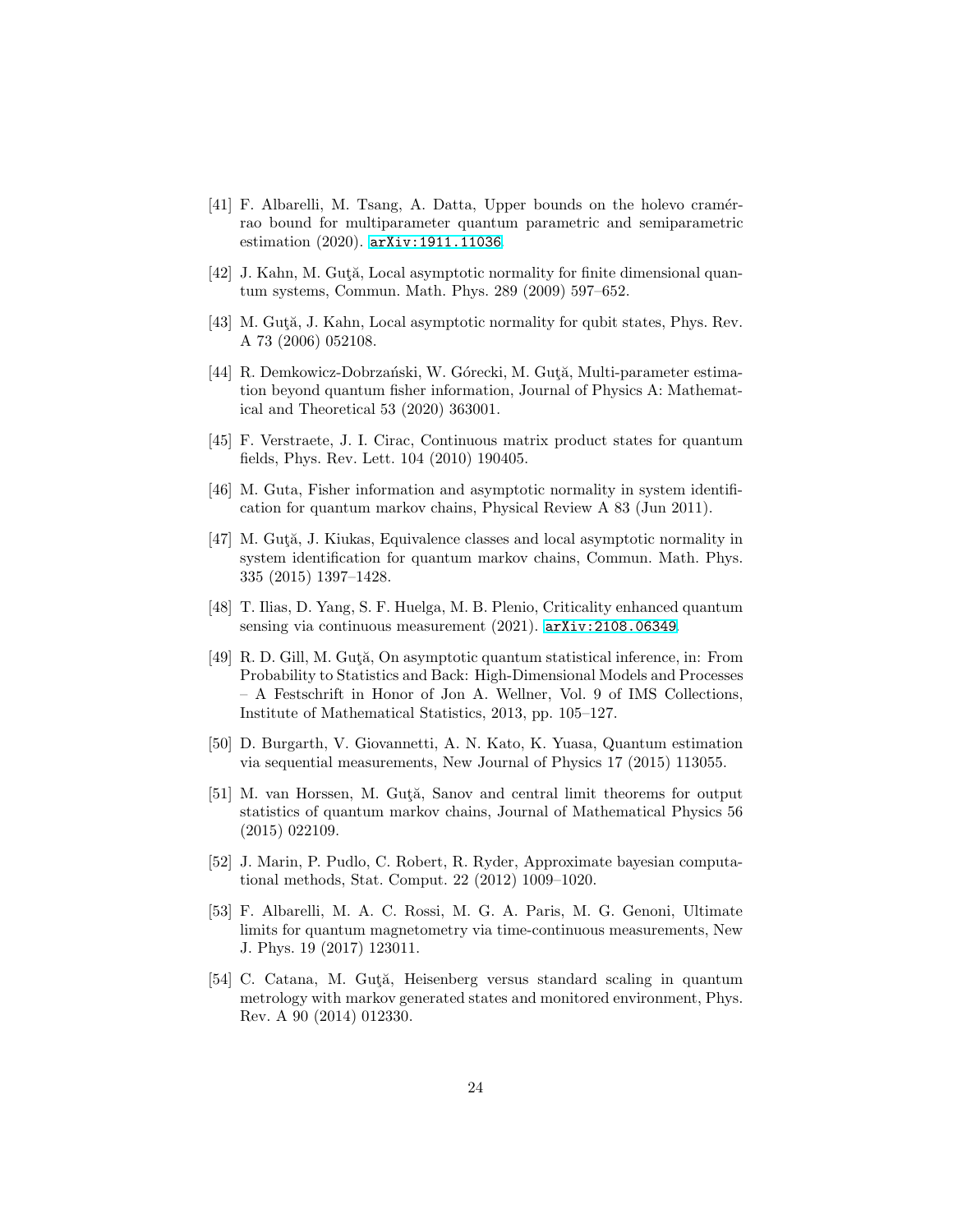- <span id="page-23-0"></span>[41] F. Albarelli, M. Tsang, A. Datta, Upper bounds on the holevo cramérrao bound for multiparameter quantum parametric and semiparametric estimation (2020). [arXiv:1911.11036](http://arxiv.org/abs/1911.11036).
- <span id="page-23-1"></span>[42] J. Kahn, M. Guta, Local asymptotic normality for finite dimensional quantum systems, Commun. Math. Phys. 289 (2009) 597–652.
- <span id="page-23-2"></span>[43] M. Guta, J. Kahn, Local asymptotic normality for qubit states, Phys. Rev. A 73 (2006) 052108.
- <span id="page-23-3"></span>[44] R. Demkowicz-Dobrzański, W. Górecki, M. Gută, Multi-parameter estimation beyond quantum fisher information, Journal of Physics A: Mathematical and Theoretical 53 (2020) 363001.
- <span id="page-23-4"></span>[45] F. Verstraete, J. I. Cirac, Continuous matrix product states for quantum fields, Phys. Rev. Lett. 104 (2010) 190405.
- <span id="page-23-5"></span>[46] M. Guta, Fisher information and asymptotic normality in system identification for quantum markov chains, Physical Review A 83 (Jun 2011).
- <span id="page-23-6"></span>[47] M. Guta, J. Kiukas, Equivalence classes and local asymptotic normality in system identification for quantum markov chains, Commun. Math. Phys. 335 (2015) 1397–1428.
- <span id="page-23-7"></span>[48] T. Ilias, D. Yang, S. F. Huelga, M. B. Plenio, Criticality enhanced quantum sensing via continuous measurement (2021). [arXiv:2108.06349](http://arxiv.org/abs/2108.06349).
- <span id="page-23-8"></span>[49] R. D. Gill, M. Guta, On asymptotic quantum statistical inference, in: From Probability to Statistics and Back: High-Dimensional Models and Processes – A Festschrift in Honor of Jon A. Wellner, Vol. 9 of IMS Collections, Institute of Mathematical Statistics, 2013, pp. 105–127.
- <span id="page-23-9"></span>[50] D. Burgarth, V. Giovannetti, A. N. Kato, K. Yuasa, Quantum estimation via sequential measurements, New Journal of Physics 17 (2015) 113055.
- <span id="page-23-10"></span>[51] M. van Horssen, M. Guta, Sanov and central limit theorems for output statistics of quantum markov chains, Journal of Mathematical Physics 56 (2015) 022109.
- <span id="page-23-11"></span>[52] J. Marin, P. Pudlo, C. Robert, R. Ryder, Approximate bayesian computational methods, Stat. Comput. 22 (2012) 1009–1020.
- <span id="page-23-12"></span>[53] F. Albarelli, M. A. C. Rossi, M. G. A. Paris, M. G. Genoni, Ultimate limits for quantum magnetometry via time-continuous measurements, New J. Phys. 19 (2017) 123011.
- <span id="page-23-13"></span>[54] C. Catana, M. Guta, Heisenberg versus standard scaling in quantum metrology with markov generated states and monitored environment, Phys. Rev. A 90 (2014) 012330.